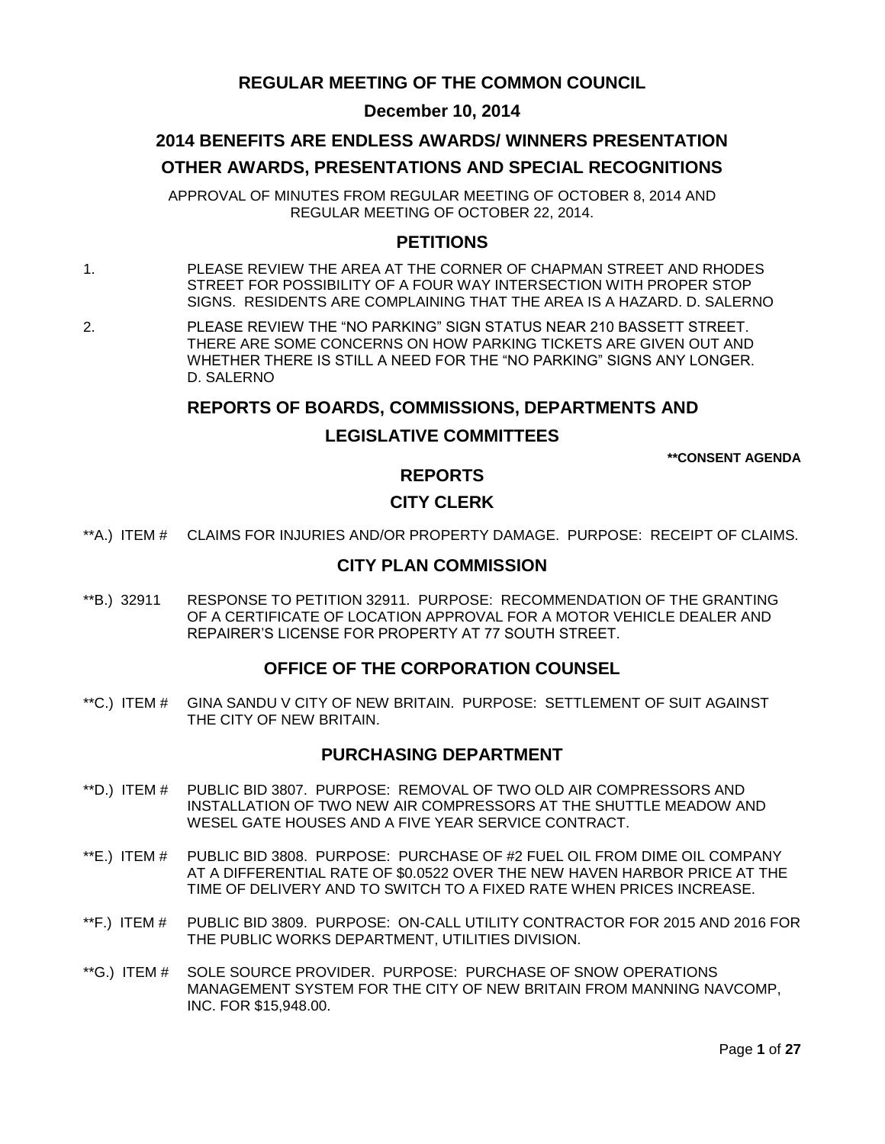## **REGULAR MEETING OF THE COMMON COUNCIL**

## **December 10, 2014**

## **2014 BENEFITS ARE ENDLESS AWARDS/ WINNERS PRESENTATION OTHER AWARDS, PRESENTATIONS AND SPECIAL RECOGNITIONS**

APPROVAL OF MINUTES FROM REGULAR MEETING OF OCTOBER 8, 2014 AND REGULAR MEETING OF OCTOBER 22, 2014.

### **PETITIONS**

1. PLEASE REVIEW THE AREA AT THE CORNER OF CHAPMAN STREET AND RHODES STREET FOR POSSIBILITY OF A FOUR WAY INTERSECTION WITH PROPER STOP SIGNS. RESIDENTS ARE COMPLAINING THAT THE AREA IS A HAZARD. D. SALERNO

2. PLEASE REVIEW THE "NO PARKING" SIGN STATUS NEAR 210 BASSETT STREET. THERE ARE SOME CONCERNS ON HOW PARKING TICKETS ARE GIVEN OUT AND WHETHER THERE IS STILL A NEED FOR THE "NO PARKING" SIGNS ANY LONGER. D. SALERNO

### **REPORTS OF BOARDS, COMMISSIONS, DEPARTMENTS AND**

## **LEGISLATIVE COMMITTEES**

**\*\*CONSENT AGENDA**

## **REPORTS**

### **CITY CLERK**

\*\*A.) ITEM # CLAIMS FOR INJURIES AND/OR PROPERTY DAMAGE. PURPOSE: RECEIPT OF CLAIMS.

#### **CITY PLAN COMMISSION**

\*\*B.) 32911 RESPONSE TO PETITION 32911. PURPOSE: RECOMMENDATION OF THE GRANTING OF A CERTIFICATE OF LOCATION APPROVAL FOR A MOTOR VEHICLE DEALER AND REPAIRER'S LICENSE FOR PROPERTY AT 77 SOUTH STREET.

#### **OFFICE OF THE CORPORATION COUNSEL**

\*\*C.) ITEM # GINA SANDU V CITY OF NEW BRITAIN. PURPOSE: SETTLEMENT OF SUIT AGAINST THE CITY OF NEW BRITAIN.

### **PURCHASING DEPARTMENT**

- \*\*D.) ITEM # PUBLIC BID 3807. PURPOSE: REMOVAL OF TWO OLD AIR COMPRESSORS AND INSTALLATION OF TWO NEW AIR COMPRESSORS AT THE SHUTTLE MEADOW AND WESEL GATE HOUSES AND A FIVE YEAR SERVICE CONTRACT.
- \*\*E.) ITEM # PUBLIC BID 3808. PURPOSE: PURCHASE OF #2 FUEL OIL FROM DIME OIL COMPANY AT A DIFFERENTIAL RATE OF \$0.0522 OVER THE NEW HAVEN HARBOR PRICE AT THE TIME OF DELIVERY AND TO SWITCH TO A FIXED RATE WHEN PRICES INCREASE.
- \*\*F.) ITEM # PUBLIC BID 3809. PURPOSE: ON-CALL UTILITY CONTRACTOR FOR 2015 AND 2016 FOR THE PUBLIC WORKS DEPARTMENT, UTILITIES DIVISION.
- \*\*G.) ITEM # SOLE SOURCE PROVIDER. PURPOSE: PURCHASE OF SNOW OPERATIONS MANAGEMENT SYSTEM FOR THE CITY OF NEW BRITAIN FROM MANNING NAVCOMP, INC. FOR \$15,948.00.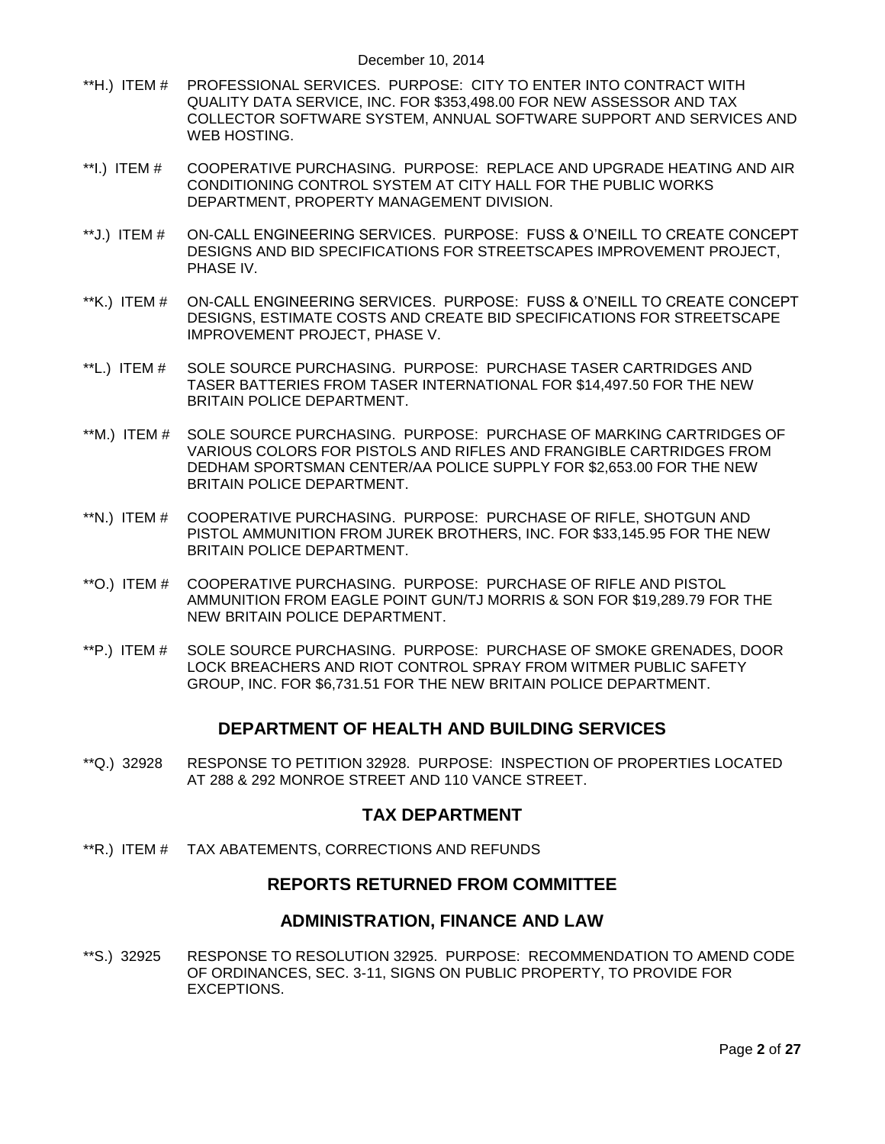- \*\*H.) ITEM # PROFESSIONAL SERVICES. PURPOSE: CITY TO ENTER INTO CONTRACT WITH QUALITY DATA SERVICE, INC. FOR \$353,498.00 FOR NEW ASSESSOR AND TAX COLLECTOR SOFTWARE SYSTEM, ANNUAL SOFTWARE SUPPORT AND SERVICES AND WEB HOSTING.
- \*\*I.) ITEM # COOPERATIVE PURCHASING. PURPOSE: REPLACE AND UPGRADE HEATING AND AIR CONDITIONING CONTROL SYSTEM AT CITY HALL FOR THE PUBLIC WORKS DEPARTMENT, PROPERTY MANAGEMENT DIVISION.
- \*\*J.) ITEM # ON-CALL ENGINEERING SERVICES. PURPOSE: FUSS & O'NEILL TO CREATE CONCEPT DESIGNS AND BID SPECIFICATIONS FOR STREETSCAPES IMPROVEMENT PROJECT, PHASE IV.
- \*\*K.) ITEM # ON-CALL ENGINEERING SERVICES. PURPOSE: FUSS & O'NEILL TO CREATE CONCEPT DESIGNS, ESTIMATE COSTS AND CREATE BID SPECIFICATIONS FOR STREETSCAPE IMPROVEMENT PROJECT, PHASE V.
- \*\*L.) ITEM # SOLE SOURCE PURCHASING. PURPOSE: PURCHASE TASER CARTRIDGES AND TASER BATTERIES FROM TASER INTERNATIONAL FOR \$14,497.50 FOR THE NEW BRITAIN POLICE DEPARTMENT.
- \*\*M.) ITEM # SOLE SOURCE PURCHASING. PURPOSE: PURCHASE OF MARKING CARTRIDGES OF VARIOUS COLORS FOR PISTOLS AND RIFLES AND FRANGIBLE CARTRIDGES FROM DEDHAM SPORTSMAN CENTER/AA POLICE SUPPLY FOR \$2,653.00 FOR THE NEW BRITAIN POLICE DEPARTMENT.
- \*\*N.) ITEM # COOPERATIVE PURCHASING. PURPOSE: PURCHASE OF RIFLE, SHOTGUN AND PISTOL AMMUNITION FROM JUREK BROTHERS, INC. FOR \$33,145.95 FOR THE NEW BRITAIN POLICE DEPARTMENT.
- \*\*O.) ITEM # COOPERATIVE PURCHASING. PURPOSE: PURCHASE OF RIFLE AND PISTOL AMMUNITION FROM EAGLE POINT GUN/TJ MORRIS & SON FOR \$19,289.79 FOR THE NEW BRITAIN POLICE DEPARTMENT.
- \*\*P.) ITEM # SOLE SOURCE PURCHASING. PURPOSE: PURCHASE OF SMOKE GRENADES, DOOR LOCK BREACHERS AND RIOT CONTROL SPRAY FROM WITMER PUBLIC SAFETY GROUP, INC. FOR \$6,731.51 FOR THE NEW BRITAIN POLICE DEPARTMENT.

### **DEPARTMENT OF HEALTH AND BUILDING SERVICES**

\*\*Q.) 32928 RESPONSE TO PETITION 32928. PURPOSE: INSPECTION OF PROPERTIES LOCATED AT 288 & 292 MONROE STREET AND 110 VANCE STREET.

### **TAX DEPARTMENT**

\*\*R.) ITEM # TAX ABATEMENTS, CORRECTIONS AND REFUNDS

### **REPORTS RETURNED FROM COMMITTEE**

#### **ADMINISTRATION, FINANCE AND LAW**

\*\*S.) 32925 RESPONSE TO RESOLUTION 32925. PURPOSE: RECOMMENDATION TO AMEND CODE OF ORDINANCES, SEC. 3-11, SIGNS ON PUBLIC PROPERTY, TO PROVIDE FOR EXCEPTIONS.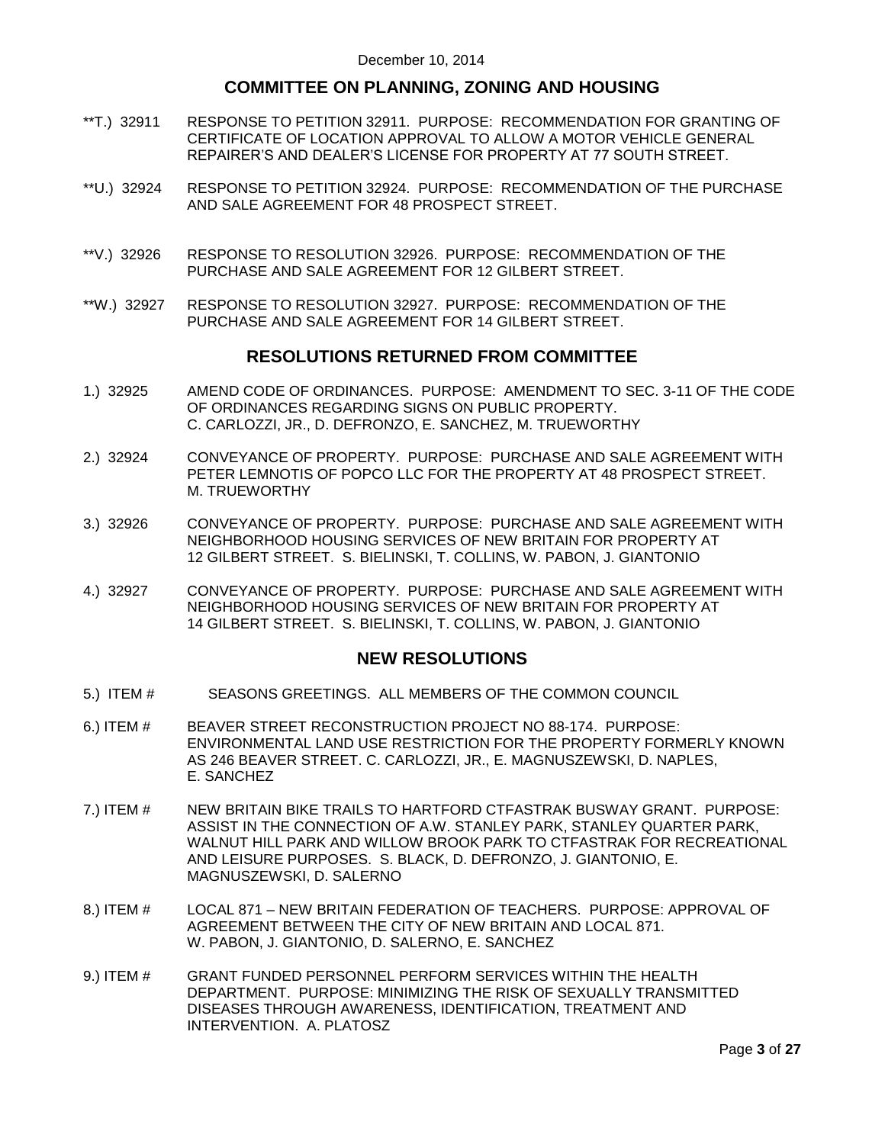## **COMMITTEE ON PLANNING, ZONING AND HOUSING**

- \*\*T.) 32911 RESPONSE TO PETITION 32911. PURPOSE: RECOMMENDATION FOR GRANTING OF CERTIFICATE OF LOCATION APPROVAL TO ALLOW A MOTOR VEHICLE GENERAL REPAIRER'S AND DEALER'S LICENSE FOR PROPERTY AT 77 SOUTH STREET.
- \*\*U.) 32924 RESPONSE TO PETITION 32924. PURPOSE: RECOMMENDATION OF THE PURCHASE AND SALE AGREEMENT FOR 48 PROSPECT STREET.
- \*\*V.) 32926 RESPONSE TO RESOLUTION 32926. PURPOSE: RECOMMENDATION OF THE PURCHASE AND SALE AGREEMENT FOR 12 GILBERT STREET.
- \*\*W.) 32927 RESPONSE TO RESOLUTION 32927. PURPOSE: RECOMMENDATION OF THE PURCHASE AND SALE AGREEMENT FOR 14 GILBERT STREET.

### **RESOLUTIONS RETURNED FROM COMMITTEE**

- 1.) 32925 AMEND CODE OF ORDINANCES. PURPOSE: AMENDMENT TO SEC. 3-11 OF THE CODE OF ORDINANCES REGARDING SIGNS ON PUBLIC PROPERTY. C. CARLOZZI, JR., D. DEFRONZO, E. SANCHEZ, M. TRUEWORTHY
- 2.) 32924 CONVEYANCE OF PROPERTY. PURPOSE: PURCHASE AND SALE AGREEMENT WITH PETER LEMNOTIS OF POPCO LLC FOR THE PROPERTY AT 48 PROSPECT STREET. M. TRUEWORTHY
- 3.) 32926 CONVEYANCE OF PROPERTY. PURPOSE: PURCHASE AND SALE AGREEMENT WITH NEIGHBORHOOD HOUSING SERVICES OF NEW BRITAIN FOR PROPERTY AT 12 GILBERT STREET. S. BIELINSKI, T. COLLINS, W. PABON, J. GIANTONIO
- 4.) 32927 CONVEYANCE OF PROPERTY. PURPOSE: PURCHASE AND SALE AGREEMENT WITH NEIGHBORHOOD HOUSING SERVICES OF NEW BRITAIN FOR PROPERTY AT 14 GILBERT STREET. S. BIELINSKI, T. COLLINS, W. PABON, J. GIANTONIO

## **NEW RESOLUTIONS**

- 5.) ITEM # SEASONS GREETINGS. ALL MEMBERS OF THE COMMON COUNCIL
- 6.) ITEM # BEAVER STREET RECONSTRUCTION PROJECT NO 88-174. PURPOSE: ENVIRONMENTAL LAND USE RESTRICTION FOR THE PROPERTY FORMERLY KNOWN AS 246 BEAVER STREET. C. CARLOZZI, JR., E. MAGNUSZEWSKI, D. NAPLES, E. SANCHEZ
- 7.) ITEM # NEW BRITAIN BIKE TRAILS TO HARTFORD CTFASTRAK BUSWAY GRANT. PURPOSE: ASSIST IN THE CONNECTION OF A.W. STANLEY PARK, STANLEY QUARTER PARK, WALNUT HILL PARK AND WILLOW BROOK PARK TO CTFASTRAK FOR RECREATIONAL AND LEISURE PURPOSES. S. BLACK, D. DEFRONZO, J. GIANTONIO, E. MAGNUSZEWSKI, D. SALERNO
- 8.) ITEM # LOCAL 871 NEW BRITAIN FEDERATION OF TEACHERS. PURPOSE: APPROVAL OF AGREEMENT BETWEEN THE CITY OF NEW BRITAIN AND LOCAL 871. W. PABON, J. GIANTONIO, D. SALERNO, E. SANCHEZ
- 9.) ITEM # GRANT FUNDED PERSONNEL PERFORM SERVICES WITHIN THE HEALTH DEPARTMENT. PURPOSE: MINIMIZING THE RISK OF SEXUALLY TRANSMITTED DISEASES THROUGH AWARENESS, IDENTIFICATION, TREATMENT AND INTERVENTION. A. PLATOSZ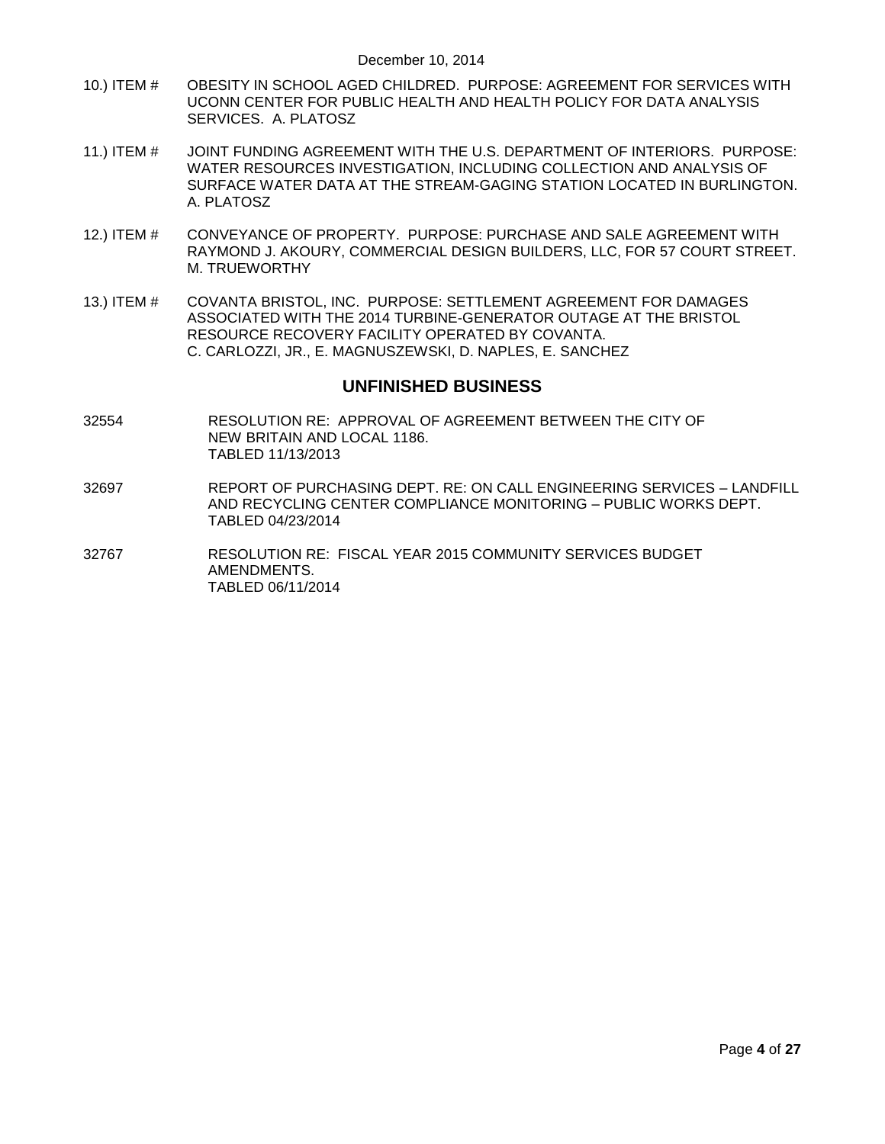- 10.) ITEM # OBESITY IN SCHOOL AGED CHILDRED. PURPOSE: AGREEMENT FOR SERVICES WITH UCONN CENTER FOR PUBLIC HEALTH AND HEALTH POLICY FOR DATA ANALYSIS SERVICES. A. PLATOSZ
- 11.) ITEM # JOINT FUNDING AGREEMENT WITH THE U.S. DEPARTMENT OF INTERIORS. PURPOSE: WATER RESOURCES INVESTIGATION, INCLUDING COLLECTION AND ANALYSIS OF SURFACE WATER DATA AT THE STREAM-GAGING STATION LOCATED IN BURLINGTON. A. PLATOSZ
- 12.) ITEM # CONVEYANCE OF PROPERTY. PURPOSE: PURCHASE AND SALE AGREEMENT WITH RAYMOND J. AKOURY, COMMERCIAL DESIGN BUILDERS, LLC, FOR 57 COURT STREET. M. TRUEWORTHY
- 13.) ITEM # COVANTA BRISTOL, INC. PURPOSE: SETTLEMENT AGREEMENT FOR DAMAGES ASSOCIATED WITH THE 2014 TURBINE-GENERATOR OUTAGE AT THE BRISTOL RESOURCE RECOVERY FACILITY OPERATED BY COVANTA. C. CARLOZZI, JR., E. MAGNUSZEWSKI, D. NAPLES, E. SANCHEZ

### **UNFINISHED BUSINESS**

- 32554 RESOLUTION RE: APPROVAL OF AGREEMENT BETWEEN THE CITY OF NEW BRITAIN AND LOCAL 1186. TABLED 11/13/2013
- 32697 REPORT OF PURCHASING DEPT. RE: ON CALL ENGINEERING SERVICES LANDFILL AND RECYCLING CENTER COMPLIANCE MONITORING – PUBLIC WORKS DEPT. TABLED 04/23/2014
- 32767 RESOLUTION RE: FISCAL YEAR 2015 COMMUNITY SERVICES BUDGET AMENDMENTS. TABLED 06/11/2014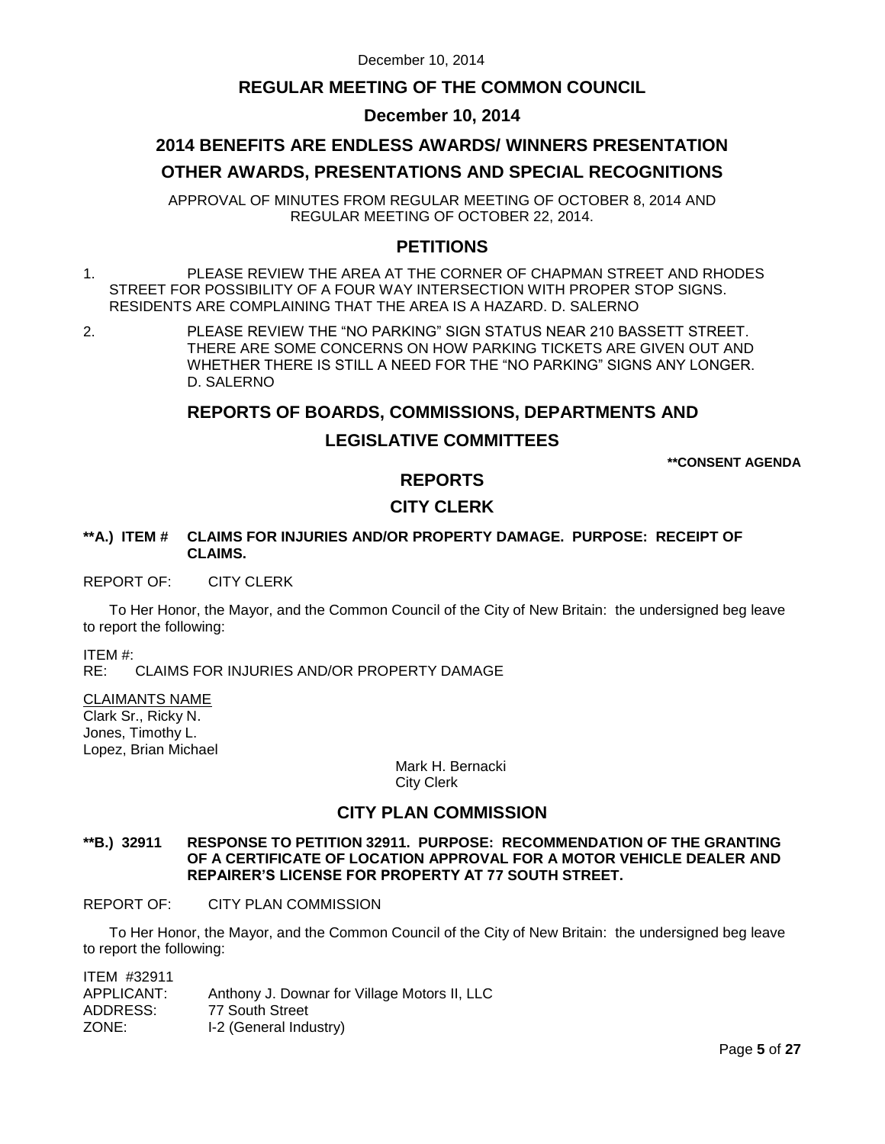## **REGULAR MEETING OF THE COMMON COUNCIL**

## **December 10, 2014**

# **2014 BENEFITS ARE ENDLESS AWARDS/ WINNERS PRESENTATION OTHER AWARDS, PRESENTATIONS AND SPECIAL RECOGNITIONS**

APPROVAL OF MINUTES FROM REGULAR MEETING OF OCTOBER 8, 2014 AND REGULAR MEETING OF OCTOBER 22, 2014.

## **PETITIONS**

- 1. PLEASE REVIEW THE AREA AT THE CORNER OF CHAPMAN STREET AND RHODES STREET FOR POSSIBILITY OF A FOUR WAY INTERSECTION WITH PROPER STOP SIGNS. RESIDENTS ARE COMPLAINING THAT THE AREA IS A HAZARD. D. SALERNO
- 2. PLEASE REVIEW THE "NO PARKING" SIGN STATUS NEAR 210 BASSETT STREET. THERE ARE SOME CONCERNS ON HOW PARKING TICKETS ARE GIVEN OUT AND WHETHER THERE IS STILL A NEED FOR THE "NO PARKING" SIGNS ANY LONGER. D. SALERNO

## **REPORTS OF BOARDS, COMMISSIONS, DEPARTMENTS AND**

## **LEGISLATIVE COMMITTEES**

**\*\*CONSENT AGENDA**

## **REPORTS**

## **CITY CLERK**

#### **\*\*A.) ITEM # CLAIMS FOR INJURIES AND/OR PROPERTY DAMAGE. PURPOSE: RECEIPT OF CLAIMS.**

#### REPORT OF: CITY CLERK

To Her Honor, the Mayor, and the Common Council of the City of New Britain: the undersigned beg leave to report the following:

ITEM #:

RE: CLAIMS FOR INJURIES AND/OR PROPERTY DAMAGE

#### CLAIMANTS NAME

Clark Sr., Ricky N. Jones, Timothy L. Lopez, Brian Michael

> Mark H. Bernacki City Clerk

## **CITY PLAN COMMISSION**

#### **\*\*B.) 32911 RESPONSE TO PETITION 32911. PURPOSE: RECOMMENDATION OF THE GRANTING OF A CERTIFICATE OF LOCATION APPROVAL FOR A MOTOR VEHICLE DEALER AND REPAIRER'S LICENSE FOR PROPERTY AT 77 SOUTH STREET.**

#### REPORT OF: CITY PLAN COMMISSION

To Her Honor, the Mayor, and the Common Council of the City of New Britain: the undersigned beg leave to report the following:

ITEM #32911<br>APPLICANT: Anthony J. Downar for Village Motors II, LLC ADDRESS: 77 South Street ZONE: I-2 (General Industry)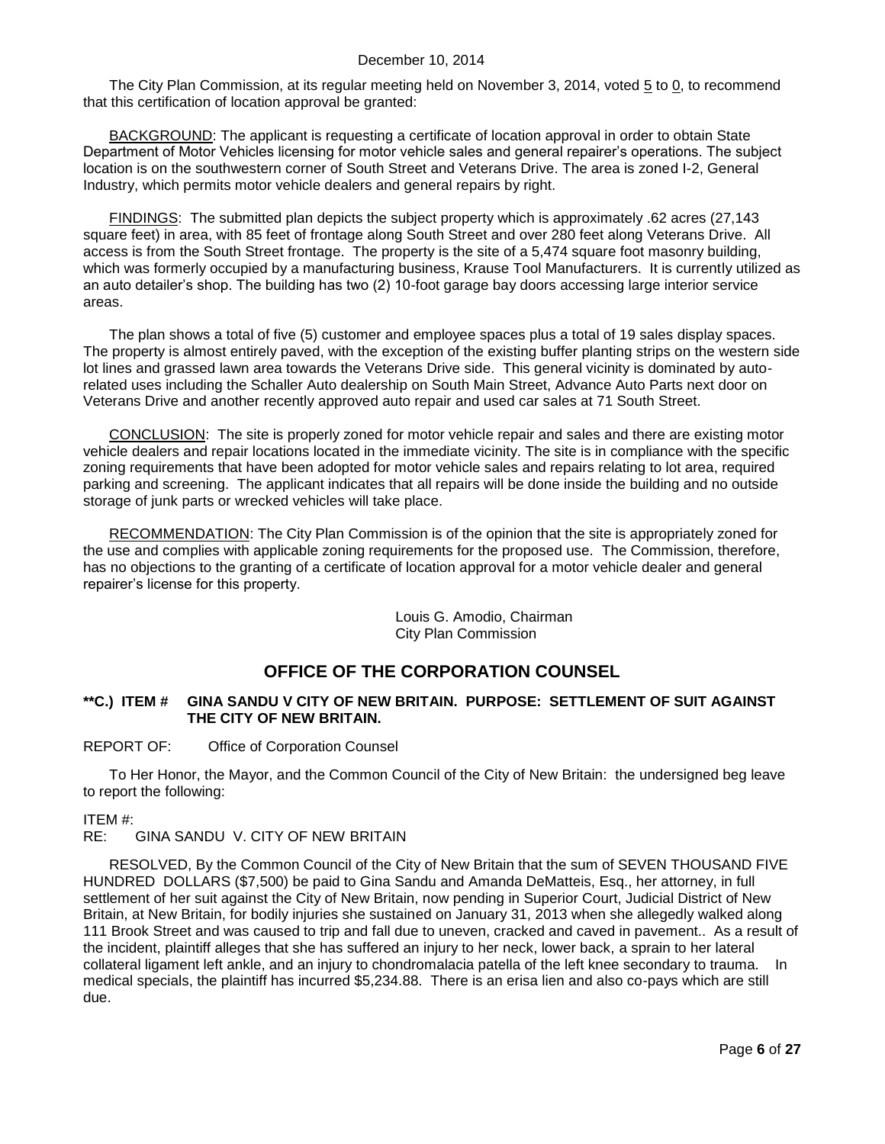The City Plan Commission, at its regular meeting held on November 3, 2014, voted  $5$  to  $0$ , to recommend that this certification of location approval be granted:

BACKGROUND: The applicant is requesting a certificate of location approval in order to obtain State Department of Motor Vehicles licensing for motor vehicle sales and general repairer's operations. The subject location is on the southwestern corner of South Street and Veterans Drive. The area is zoned I-2, General Industry, which permits motor vehicle dealers and general repairs by right.

FINDINGS: The submitted plan depicts the subject property which is approximately .62 acres (27,143 square feet) in area, with 85 feet of frontage along South Street and over 280 feet along Veterans Drive. All access is from the South Street frontage. The property is the site of a 5,474 square foot masonry building, which was formerly occupied by a manufacturing business, Krause Tool Manufacturers. It is currently utilized as an auto detailer's shop. The building has two (2) 10-foot garage bay doors accessing large interior service areas.

The plan shows a total of five (5) customer and employee spaces plus a total of 19 sales display spaces. The property is almost entirely paved, with the exception of the existing buffer planting strips on the western side lot lines and grassed lawn area towards the Veterans Drive side. This general vicinity is dominated by autorelated uses including the Schaller Auto dealership on South Main Street, Advance Auto Parts next door on Veterans Drive and another recently approved auto repair and used car sales at 71 South Street.

CONCLUSION: The site is properly zoned for motor vehicle repair and sales and there are existing motor vehicle dealers and repair locations located in the immediate vicinity. The site is in compliance with the specific zoning requirements that have been adopted for motor vehicle sales and repairs relating to lot area, required parking and screening. The applicant indicates that all repairs will be done inside the building and no outside storage of junk parts or wrecked vehicles will take place.

RECOMMENDATION: The City Plan Commission is of the opinion that the site is appropriately zoned for the use and complies with applicable zoning requirements for the proposed use. The Commission, therefore, has no objections to the granting of a certificate of location approval for a motor vehicle dealer and general repairer's license for this property.

> Louis G. Amodio, Chairman City Plan Commission

## **OFFICE OF THE CORPORATION COUNSEL**

#### **\*\*C.) ITEM # GINA SANDU V CITY OF NEW BRITAIN. PURPOSE: SETTLEMENT OF SUIT AGAINST THE CITY OF NEW BRITAIN.**

#### REPORT OF: Office of Corporation Counsel

To Her Honor, the Mayor, and the Common Council of the City of New Britain: the undersigned beg leave to report the following:

#### ITEM #:

#### RE: GINA SANDU V. CITY OF NEW BRITAIN

RESOLVED, By the Common Council of the City of New Britain that the sum of SEVEN THOUSAND FIVE HUNDRED DOLLARS (\$7,500) be paid to Gina Sandu and Amanda DeMatteis, Esq., her attorney, in full settlement of her suit against the City of New Britain, now pending in Superior Court, Judicial District of New Britain, at New Britain, for bodily injuries she sustained on January 31, 2013 when she allegedly walked along 111 Brook Street and was caused to trip and fall due to uneven, cracked and caved in pavement.. As a result of the incident, plaintiff alleges that she has suffered an injury to her neck, lower back, a sprain to her lateral collateral ligament left ankle, and an injury to chondromalacia patella of the left knee secondary to trauma. In medical specials, the plaintiff has incurred \$5,234.88. There is an erisa lien and also co-pays which are still due.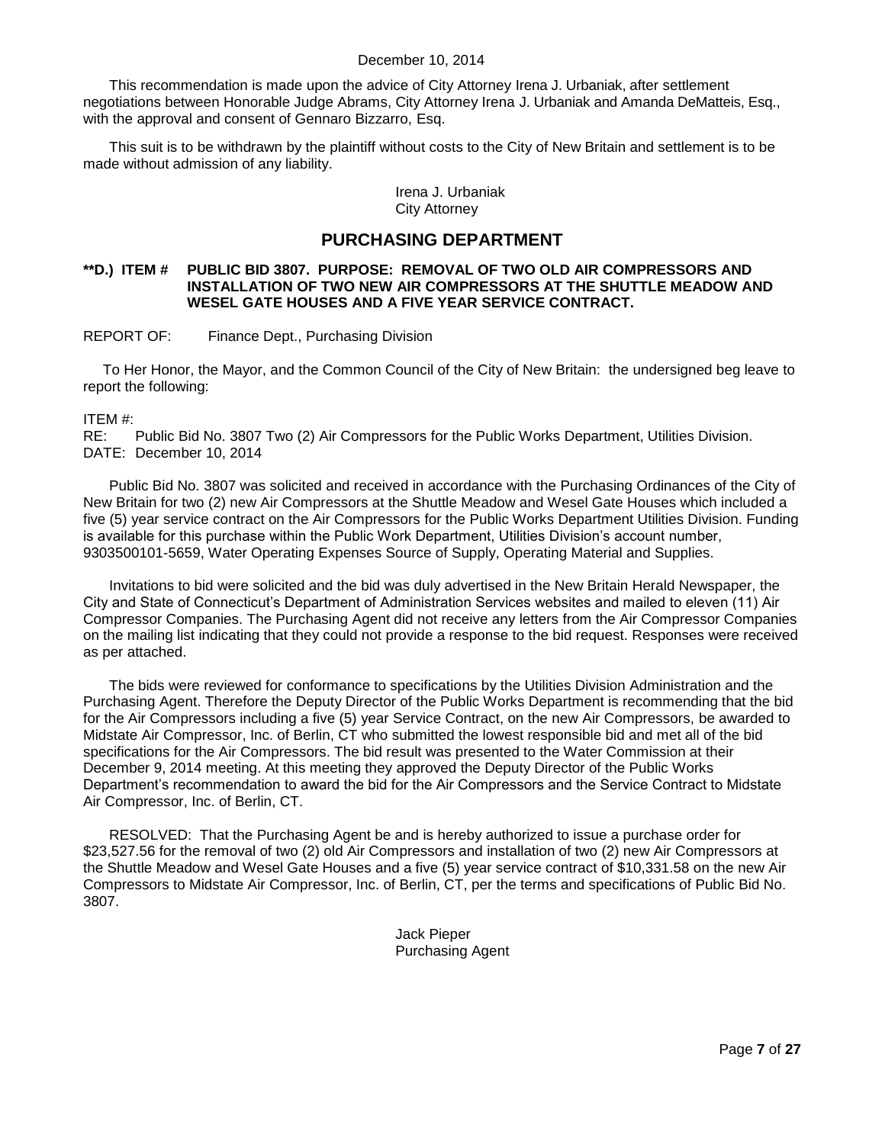This recommendation is made upon the advice of City Attorney Irena J. Urbaniak, after settlement negotiations between Honorable Judge Abrams, City Attorney Irena J. Urbaniak and Amanda DeMatteis, Esq., with the approval and consent of Gennaro Bizzarro, Esq.

This suit is to be withdrawn by the plaintiff without costs to the City of New Britain and settlement is to be made without admission of any liability.

#### Irena J. Urbaniak City Attorney

## **PURCHASING DEPARTMENT**

#### **\*\*D.) ITEM # PUBLIC BID 3807. PURPOSE: REMOVAL OF TWO OLD AIR COMPRESSORS AND INSTALLATION OF TWO NEW AIR COMPRESSORS AT THE SHUTTLE MEADOW AND WESEL GATE HOUSES AND A FIVE YEAR SERVICE CONTRACT.**

#### REPORT OF: Finance Dept., Purchasing Division

To Her Honor, the Mayor, and the Common Council of the City of New Britain: the undersigned beg leave to report the following:

ITEM #:

RE: Public Bid No. 3807 Two (2) Air Compressors for the Public Works Department, Utilities Division. DATE: December 10, 2014

Public Bid No. 3807 was solicited and received in accordance with the Purchasing Ordinances of the City of New Britain for two (2) new Air Compressors at the Shuttle Meadow and Wesel Gate Houses which included a five (5) year service contract on the Air Compressors for the Public Works Department Utilities Division. Funding is available for this purchase within the Public Work Department, Utilities Division's account number, 9303500101-5659, Water Operating Expenses Source of Supply, Operating Material and Supplies.

Invitations to bid were solicited and the bid was duly advertised in the New Britain Herald Newspaper, the City and State of Connecticut's Department of Administration Services websites and mailed to eleven (11) Air Compressor Companies. The Purchasing Agent did not receive any letters from the Air Compressor Companies on the mailing list indicating that they could not provide a response to the bid request. Responses were received as per attached.

The bids were reviewed for conformance to specifications by the Utilities Division Administration and the Purchasing Agent. Therefore the Deputy Director of the Public Works Department is recommending that the bid for the Air Compressors including a five (5) year Service Contract, on the new Air Compressors, be awarded to Midstate Air Compressor, Inc. of Berlin, CT who submitted the lowest responsible bid and met all of the bid specifications for the Air Compressors. The bid result was presented to the Water Commission at their December 9, 2014 meeting. At this meeting they approved the Deputy Director of the Public Works Department's recommendation to award the bid for the Air Compressors and the Service Contract to Midstate Air Compressor, Inc. of Berlin, CT.

RESOLVED: That the Purchasing Agent be and is hereby authorized to issue a purchase order for \$23,527.56 for the removal of two (2) old Air Compressors and installation of two (2) new Air Compressors at the Shuttle Meadow and Wesel Gate Houses and a five (5) year service contract of \$10,331.58 on the new Air Compressors to Midstate Air Compressor, Inc. of Berlin, CT, per the terms and specifications of Public Bid No. 3807.

> Jack Pieper Purchasing Agent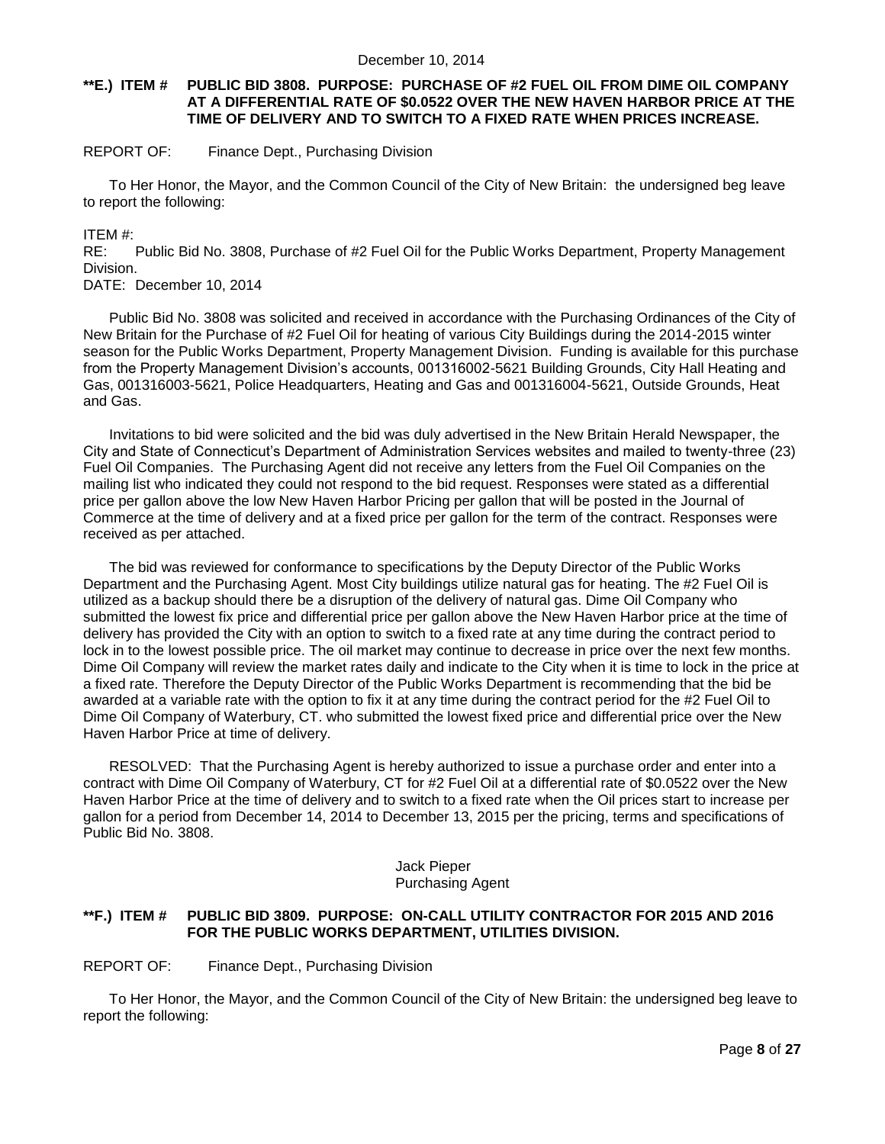#### **\*\*E.) ITEM # PUBLIC BID 3808. PURPOSE: PURCHASE OF #2 FUEL OIL FROM DIME OIL COMPANY AT A DIFFERENTIAL RATE OF \$0.0522 OVER THE NEW HAVEN HARBOR PRICE AT THE TIME OF DELIVERY AND TO SWITCH TO A FIXED RATE WHEN PRICES INCREASE.**

#### REPORT OF: Finance Dept., Purchasing Division

To Her Honor, the Mayor, and the Common Council of the City of New Britain: the undersigned beg leave to report the following:

#### ITEM #:

RE: Public Bid No. 3808, Purchase of #2 Fuel Oil for the Public Works Department, Property Management Division.

DATE: December 10, 2014

Public Bid No. 3808 was solicited and received in accordance with the Purchasing Ordinances of the City of New Britain for the Purchase of #2 Fuel Oil for heating of various City Buildings during the 2014-2015 winter season for the Public Works Department, Property Management Division. Funding is available for this purchase from the Property Management Division's accounts, 001316002-5621 Building Grounds, City Hall Heating and Gas, 001316003-5621, Police Headquarters, Heating and Gas and 001316004-5621, Outside Grounds, Heat and Gas.

Invitations to bid were solicited and the bid was duly advertised in the New Britain Herald Newspaper, the City and State of Connecticut's Department of Administration Services websites and mailed to twenty-three (23) Fuel Oil Companies. The Purchasing Agent did not receive any letters from the Fuel Oil Companies on the mailing list who indicated they could not respond to the bid request. Responses were stated as a differential price per gallon above the low New Haven Harbor Pricing per gallon that will be posted in the Journal of Commerce at the time of delivery and at a fixed price per gallon for the term of the contract. Responses were received as per attached.

The bid was reviewed for conformance to specifications by the Deputy Director of the Public Works Department and the Purchasing Agent. Most City buildings utilize natural gas for heating. The #2 Fuel Oil is utilized as a backup should there be a disruption of the delivery of natural gas. Dime Oil Company who submitted the lowest fix price and differential price per gallon above the New Haven Harbor price at the time of delivery has provided the City with an option to switch to a fixed rate at any time during the contract period to lock in to the lowest possible price. The oil market may continue to decrease in price over the next few months. Dime Oil Company will review the market rates daily and indicate to the City when it is time to lock in the price at a fixed rate. Therefore the Deputy Director of the Public Works Department is recommending that the bid be awarded at a variable rate with the option to fix it at any time during the contract period for the #2 Fuel Oil to Dime Oil Company of Waterbury, CT. who submitted the lowest fixed price and differential price over the New Haven Harbor Price at time of delivery.

RESOLVED: That the Purchasing Agent is hereby authorized to issue a purchase order and enter into a contract with Dime Oil Company of Waterbury, CT for #2 Fuel Oil at a differential rate of \$0.0522 over the New Haven Harbor Price at the time of delivery and to switch to a fixed rate when the Oil prices start to increase per gallon for a period from December 14, 2014 to December 13, 2015 per the pricing, terms and specifications of Public Bid No. 3808.

#### Jack Pieper Purchasing Agent

#### **\*\*F.) ITEM # PUBLIC BID 3809. PURPOSE: ON-CALL UTILITY CONTRACTOR FOR 2015 AND 2016 FOR THE PUBLIC WORKS DEPARTMENT, UTILITIES DIVISION.**

REPORT OF: Finance Dept., Purchasing Division

To Her Honor, the Mayor, and the Common Council of the City of New Britain: the undersigned beg leave to report the following: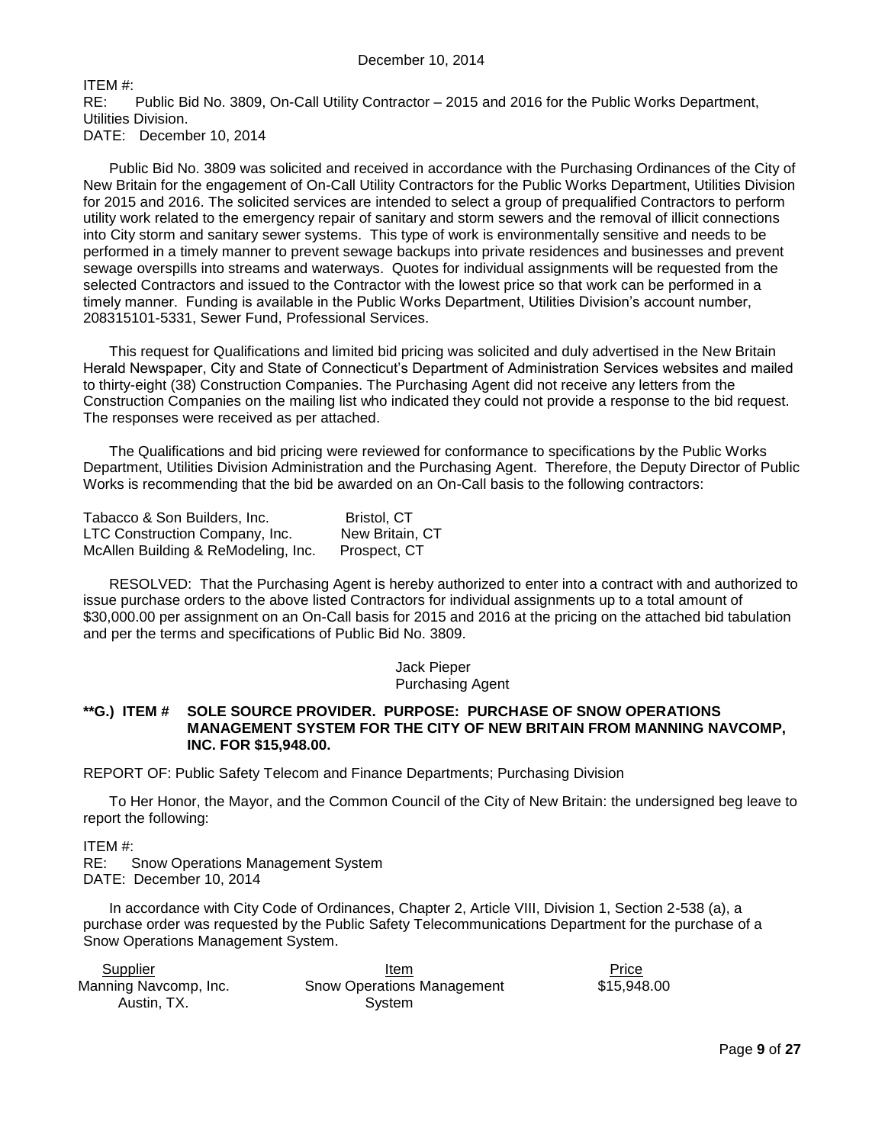ITEM #:

RE: Public Bid No. 3809, On-Call Utility Contractor – 2015 and 2016 for the Public Works Department, Utilities Division.

DATE: December 10, 2014

Public Bid No. 3809 was solicited and received in accordance with the Purchasing Ordinances of the City of New Britain for the engagement of On-Call Utility Contractors for the Public Works Department, Utilities Division for 2015 and 2016. The solicited services are intended to select a group of prequalified Contractors to perform utility work related to the emergency repair of sanitary and storm sewers and the removal of illicit connections into City storm and sanitary sewer systems. This type of work is environmentally sensitive and needs to be performed in a timely manner to prevent sewage backups into private residences and businesses and prevent sewage overspills into streams and waterways. Quotes for individual assignments will be requested from the selected Contractors and issued to the Contractor with the lowest price so that work can be performed in a timely manner. Funding is available in the Public Works Department, Utilities Division's account number, 208315101-5331, Sewer Fund, Professional Services.

This request for Qualifications and limited bid pricing was solicited and duly advertised in the New Britain Herald Newspaper, City and State of Connecticut's Department of Administration Services websites and mailed to thirty-eight (38) Construction Companies. The Purchasing Agent did not receive any letters from the Construction Companies on the mailing list who indicated they could not provide a response to the bid request. The responses were received as per attached.

The Qualifications and bid pricing were reviewed for conformance to specifications by the Public Works Department, Utilities Division Administration and the Purchasing Agent. Therefore, the Deputy Director of Public Works is recommending that the bid be awarded on an On-Call basis to the following contractors:

| Tabacco & Son Builders, Inc.        | <b>Bristol, CT</b> |
|-------------------------------------|--------------------|
| LTC Construction Company, Inc.      | New Britain, CT    |
| McAllen Building & ReModeling, Inc. | Prospect, CT       |

RESOLVED: That the Purchasing Agent is hereby authorized to enter into a contract with and authorized to issue purchase orders to the above listed Contractors for individual assignments up to a total amount of \$30,000.00 per assignment on an On-Call basis for 2015 and 2016 at the pricing on the attached bid tabulation and per the terms and specifications of Public Bid No. 3809.

#### Jack Pieper Purchasing Agent

#### **\*\*G.) ITEM # SOLE SOURCE PROVIDER. PURPOSE: PURCHASE OF SNOW OPERATIONS MANAGEMENT SYSTEM FOR THE CITY OF NEW BRITAIN FROM MANNING NAVCOMP, INC. FOR \$15,948.00.**

REPORT OF: Public Safety Telecom and Finance Departments; Purchasing Division

To Her Honor, the Mayor, and the Common Council of the City of New Britain: the undersigned beg leave to report the following:

ITEM #:

RE: Snow Operations Management System DATE: December 10, 2014

In accordance with City Code of Ordinances, Chapter 2, Article VIII, Division 1, Section 2-538 (a), a purchase order was requested by the Public Safety Telecommunications Department for the purchase of a Snow Operations Management System.

| Supplier              | Item                              | Price       |
|-----------------------|-----------------------------------|-------------|
| Manning Navcomp, Inc. | <b>Snow Operations Management</b> | \$15,948.00 |
| Austin. TX.           | System                            |             |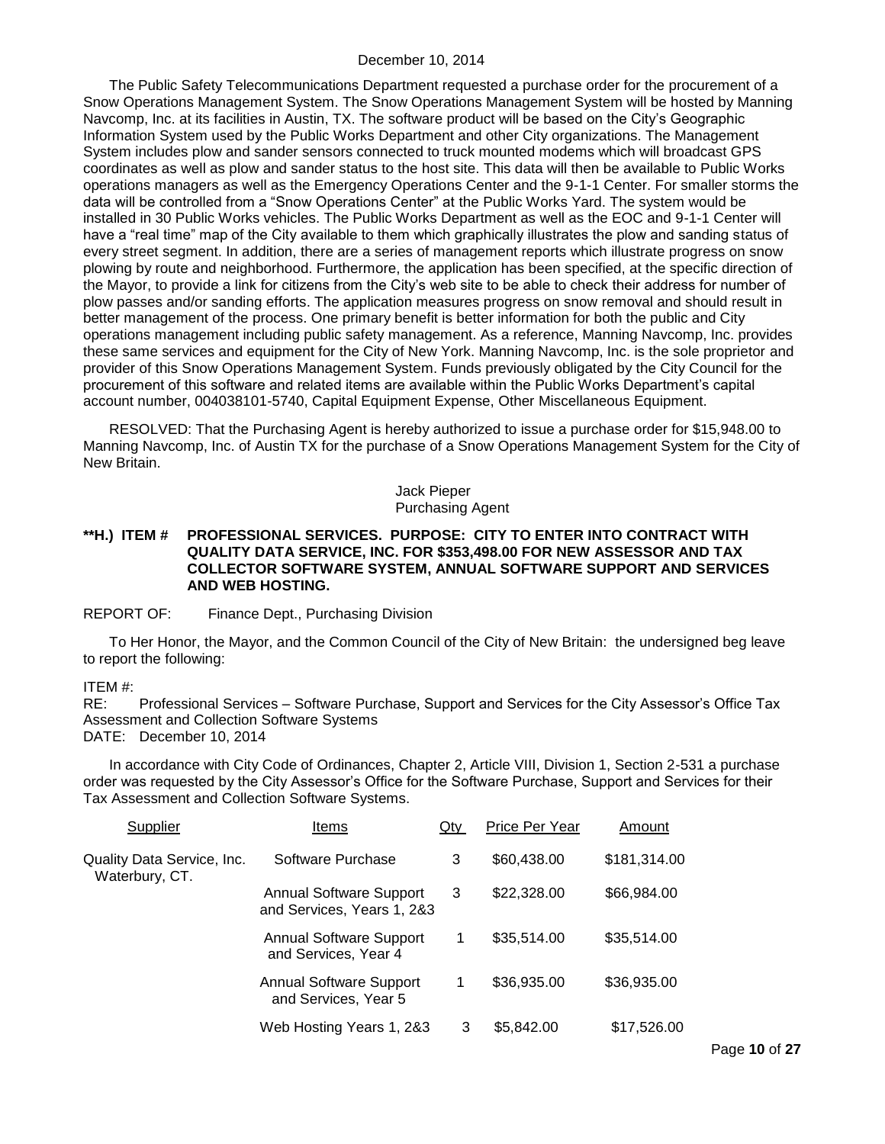The Public Safety Telecommunications Department requested a purchase order for the procurement of a Snow Operations Management System. The Snow Operations Management System will be hosted by Manning Navcomp, Inc. at its facilities in Austin, TX. The software product will be based on the City's Geographic Information System used by the Public Works Department and other City organizations. The Management System includes plow and sander sensors connected to truck mounted modems which will broadcast GPS coordinates as well as plow and sander status to the host site. This data will then be available to Public Works operations managers as well as the Emergency Operations Center and the 9-1-1 Center. For smaller storms the data will be controlled from a "Snow Operations Center" at the Public Works Yard. The system would be installed in 30 Public Works vehicles. The Public Works Department as well as the EOC and 9-1-1 Center will have a "real time" map of the City available to them which graphically illustrates the plow and sanding status of every street segment. In addition, there are a series of management reports which illustrate progress on snow plowing by route and neighborhood. Furthermore, the application has been specified, at the specific direction of the Mayor, to provide a link for citizens from the City's web site to be able to check their address for number of plow passes and/or sanding efforts. The application measures progress on snow removal and should result in better management of the process. One primary benefit is better information for both the public and City operations management including public safety management. As a reference, Manning Navcomp, Inc. provides these same services and equipment for the City of New York. Manning Navcomp, Inc. is the sole proprietor and provider of this Snow Operations Management System. Funds previously obligated by the City Council for the procurement of this software and related items are available within the Public Works Department's capital account number, 004038101-5740, Capital Equipment Expense, Other Miscellaneous Equipment.

RESOLVED: That the Purchasing Agent is hereby authorized to issue a purchase order for \$15,948.00 to Manning Navcomp, Inc. of Austin TX for the purchase of a Snow Operations Management System for the City of New Britain.

#### Jack Pieper Purchasing Agent

#### **\*\*H.) ITEM # PROFESSIONAL SERVICES. PURPOSE: CITY TO ENTER INTO CONTRACT WITH QUALITY DATA SERVICE, INC. FOR \$353,498.00 FOR NEW ASSESSOR AND TAX COLLECTOR SOFTWARE SYSTEM, ANNUAL SOFTWARE SUPPORT AND SERVICES AND WEB HOSTING.**

#### REPORT OF: Finance Dept., Purchasing Division

To Her Honor, the Mayor, and the Common Council of the City of New Britain: the undersigned beg leave to report the following:

# ITEM #:<br>RE:

Professional Services – Software Purchase, Support and Services for the City Assessor's Office Tax Assessment and Collection Software Systems DATE: December 10, 2014

In accordance with City Code of Ordinances, Chapter 2, Article VIII, Division 1, Section 2-531 a purchase order was requested by the City Assessor's Office for the Software Purchase, Support and Services for their Tax Assessment and Collection Software Systems.

| Supplier                                     | Items                                                        | Qty | Price Per Year | Amount       |
|----------------------------------------------|--------------------------------------------------------------|-----|----------------|--------------|
| Quality Data Service, Inc.<br>Waterbury, CT. | Software Purchase                                            | 3   | \$60,438.00    | \$181,314.00 |
|                                              | <b>Annual Software Support</b><br>and Services, Years 1, 2&3 | 3   | \$22,328.00    | \$66,984.00  |
|                                              | <b>Annual Software Support</b><br>and Services, Year 4       | 1   | \$35,514.00    | \$35,514.00  |
|                                              | <b>Annual Software Support</b><br>and Services, Year 5       | 1   | \$36,935.00    | \$36,935.00  |
|                                              | Web Hosting Years 1, 2&3                                     | 3   | \$5,842.00     | \$17,526.00  |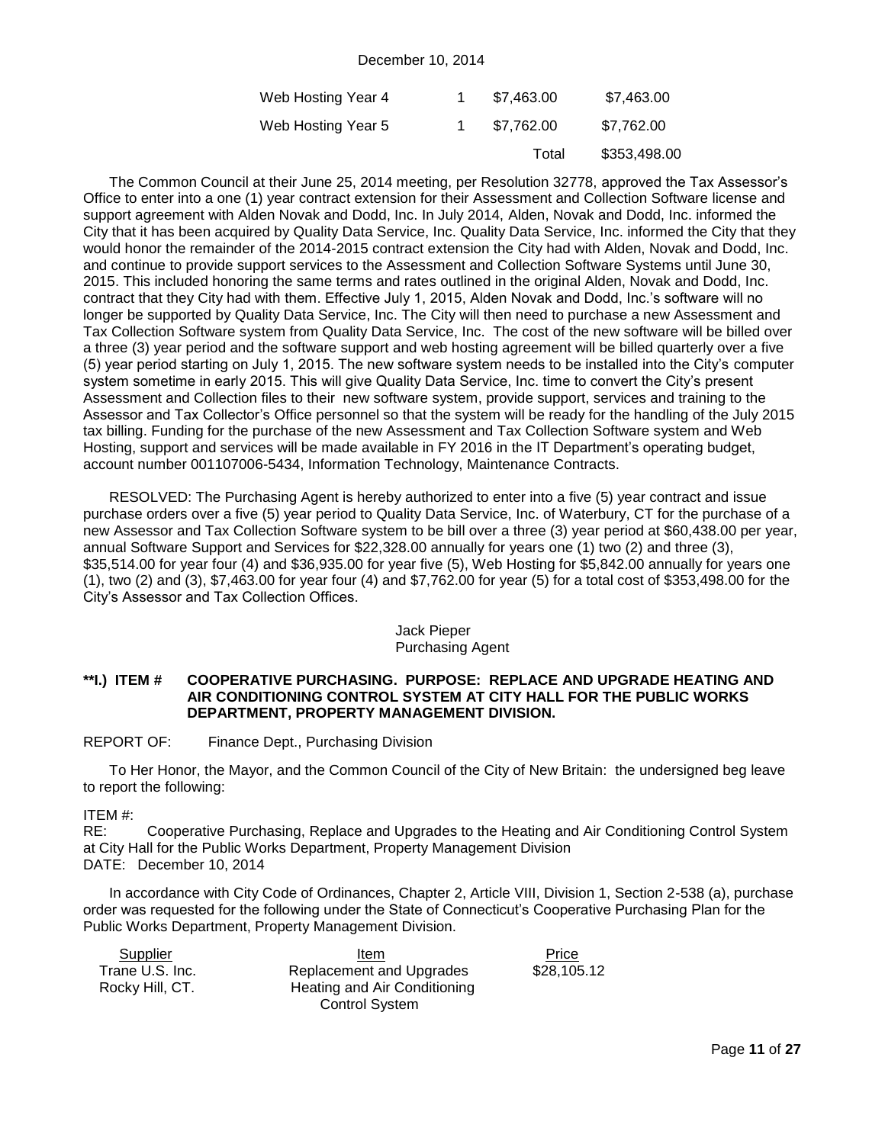| Web Hosting Year 4 | \$7.463.00 | \$7,463.00   |
|--------------------|------------|--------------|
| Web Hosting Year 5 | \$7.762.00 | \$7,762.00   |
|                    | Total      | \$353,498.00 |

The Common Council at their June 25, 2014 meeting, per Resolution 32778, approved the Tax Assessor's Office to enter into a one (1) year contract extension for their Assessment and Collection Software license and support agreement with Alden Novak and Dodd, Inc. In July 2014, Alden, Novak and Dodd, Inc. informed the City that it has been acquired by Quality Data Service, Inc. Quality Data Service, Inc. informed the City that they would honor the remainder of the 2014-2015 contract extension the City had with Alden, Novak and Dodd, Inc. and continue to provide support services to the Assessment and Collection Software Systems until June 30, 2015. This included honoring the same terms and rates outlined in the original Alden, Novak and Dodd, Inc. contract that they City had with them. Effective July 1, 2015, Alden Novak and Dodd, Inc.'s software will no longer be supported by Quality Data Service, Inc. The City will then need to purchase a new Assessment and Tax Collection Software system from Quality Data Service, Inc. The cost of the new software will be billed over a three (3) year period and the software support and web hosting agreement will be billed quarterly over a five (5) year period starting on July 1, 2015. The new software system needs to be installed into the City's computer system sometime in early 2015. This will give Quality Data Service, Inc. time to convert the City's present Assessment and Collection files to their new software system, provide support, services and training to the Assessor and Tax Collector's Office personnel so that the system will be ready for the handling of the July 2015 tax billing. Funding for the purchase of the new Assessment and Tax Collection Software system and Web Hosting, support and services will be made available in FY 2016 in the IT Department's operating budget, account number 001107006-5434, Information Technology, Maintenance Contracts.

RESOLVED: The Purchasing Agent is hereby authorized to enter into a five (5) year contract and issue purchase orders over a five (5) year period to Quality Data Service, Inc. of Waterbury, CT for the purchase of a new Assessor and Tax Collection Software system to be bill over a three (3) year period at \$60,438.00 per year, annual Software Support and Services for \$22,328.00 annually for years one (1) two (2) and three (3), \$35,514.00 for year four (4) and \$36,935.00 for year five (5), Web Hosting for \$5,842.00 annually for years one (1), two (2) and (3), \$7,463.00 for year four (4) and \$7,762.00 for year (5) for a total cost of \$353,498.00 for the City's Assessor and Tax Collection Offices.

#### Jack Pieper Purchasing Agent

#### **\*\*I.) ITEM # COOPERATIVE PURCHASING. PURPOSE: REPLACE AND UPGRADE HEATING AND AIR CONDITIONING CONTROL SYSTEM AT CITY HALL FOR THE PUBLIC WORKS DEPARTMENT, PROPERTY MANAGEMENT DIVISION.**

#### REPORT OF: Finance Dept., Purchasing Division

To Her Honor, the Mayor, and the Common Council of the City of New Britain: the undersigned beg leave to report the following:

#### ITEM #:

RE: Cooperative Purchasing, Replace and Upgrades to the Heating and Air Conditioning Control System at City Hall for the Public Works Department, Property Management Division DATE: December 10, 2014

In accordance with City Code of Ordinances, Chapter 2, Article VIII, Division 1, Section 2-538 (a), purchase order was requested for the following under the State of Connecticut's Cooperative Purchasing Plan for the Public Works Department, Property Management Division.

| Supplier        | Item                         | Price       |
|-----------------|------------------------------|-------------|
| Trane U.S. Inc. | Replacement and Upgrades     | \$28,105.12 |
| Rocky Hill, CT. | Heating and Air Conditioning |             |
|                 | <b>Control System</b>        |             |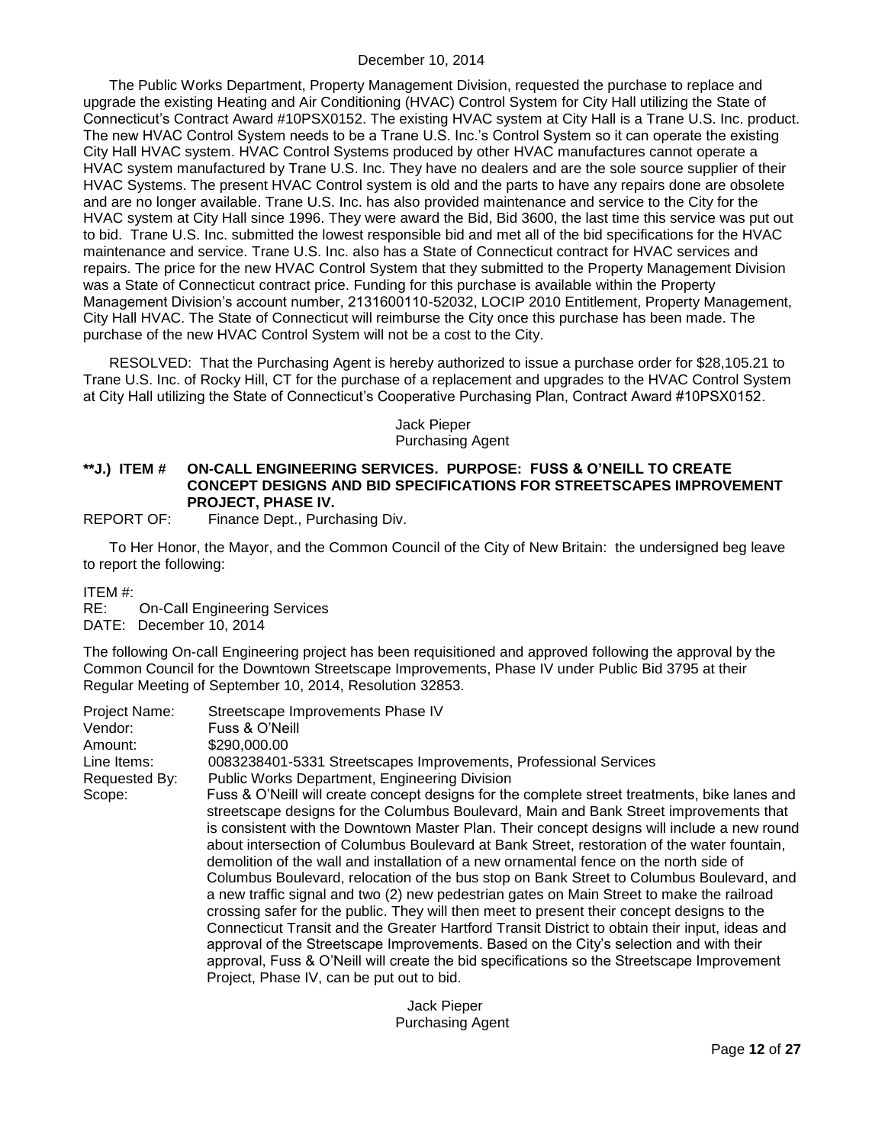The Public Works Department, Property Management Division, requested the purchase to replace and upgrade the existing Heating and Air Conditioning (HVAC) Control System for City Hall utilizing the State of Connecticut's Contract Award #10PSX0152. The existing HVAC system at City Hall is a Trane U.S. Inc. product. The new HVAC Control System needs to be a Trane U.S. Inc.'s Control System so it can operate the existing City Hall HVAC system. HVAC Control Systems produced by other HVAC manufactures cannot operate a HVAC system manufactured by Trane U.S. Inc. They have no dealers and are the sole source supplier of their HVAC Systems. The present HVAC Control system is old and the parts to have any repairs done are obsolete and are no longer available. Trane U.S. Inc. has also provided maintenance and service to the City for the HVAC system at City Hall since 1996. They were award the Bid, Bid 3600, the last time this service was put out to bid. Trane U.S. Inc. submitted the lowest responsible bid and met all of the bid specifications for the HVAC maintenance and service. Trane U.S. Inc. also has a State of Connecticut contract for HVAC services and repairs. The price for the new HVAC Control System that they submitted to the Property Management Division was a State of Connecticut contract price. Funding for this purchase is available within the Property Management Division's account number, 2131600110-52032, LOCIP 2010 Entitlement, Property Management, City Hall HVAC. The State of Connecticut will reimburse the City once this purchase has been made. The purchase of the new HVAC Control System will not be a cost to the City.

RESOLVED: That the Purchasing Agent is hereby authorized to issue a purchase order for \$28,105.21 to Trane U.S. Inc. of Rocky Hill, CT for the purchase of a replacement and upgrades to the HVAC Control System at City Hall utilizing the State of Connecticut's Cooperative Purchasing Plan, Contract Award #10PSX0152.

#### Jack Pieper Purchasing Agent

#### **\*\*J.) ITEM # ON-CALL ENGINEERING SERVICES. PURPOSE: FUSS & O'NEILL TO CREATE CONCEPT DESIGNS AND BID SPECIFICATIONS FOR STREETSCAPES IMPROVEMENT PROJECT, PHASE IV.**

REPORT OF: Finance Dept., Purchasing Div.

To Her Honor, the Mayor, and the Common Council of the City of New Britain: the undersigned beg leave to report the following:

ITEM #:

RE: On-Call Engineering Services DATE: December 10, 2014

The following On-call Engineering project has been requisitioned and approved following the approval by the Common Council for the Downtown Streetscape Improvements, Phase IV under Public Bid 3795 at their Regular Meeting of September 10, 2014, Resolution 32853.

| Project Name: | Streetscape Improvements Phase IV                                                                                                                                                                                                                                                                                                                                                                                                                                                                                                                                                                                                                                                                                                                                                                                                                                                                                                                                                                                                                                                                             |
|---------------|---------------------------------------------------------------------------------------------------------------------------------------------------------------------------------------------------------------------------------------------------------------------------------------------------------------------------------------------------------------------------------------------------------------------------------------------------------------------------------------------------------------------------------------------------------------------------------------------------------------------------------------------------------------------------------------------------------------------------------------------------------------------------------------------------------------------------------------------------------------------------------------------------------------------------------------------------------------------------------------------------------------------------------------------------------------------------------------------------------------|
| Vendor:       | Fuss & O'Neill                                                                                                                                                                                                                                                                                                                                                                                                                                                                                                                                                                                                                                                                                                                                                                                                                                                                                                                                                                                                                                                                                                |
| Amount:       | \$290,000.00                                                                                                                                                                                                                                                                                                                                                                                                                                                                                                                                                                                                                                                                                                                                                                                                                                                                                                                                                                                                                                                                                                  |
| Line Items:   | 0083238401-5331 Streetscapes Improvements, Professional Services                                                                                                                                                                                                                                                                                                                                                                                                                                                                                                                                                                                                                                                                                                                                                                                                                                                                                                                                                                                                                                              |
| Requested By: | <b>Public Works Department, Engineering Division</b>                                                                                                                                                                                                                                                                                                                                                                                                                                                                                                                                                                                                                                                                                                                                                                                                                                                                                                                                                                                                                                                          |
| Scope:        | Fuss & O'Neill will create concept designs for the complete street treatments, bike lanes and<br>streetscape designs for the Columbus Boulevard, Main and Bank Street improvements that<br>is consistent with the Downtown Master Plan. Their concept designs will include a new round<br>about intersection of Columbus Boulevard at Bank Street, restoration of the water fountain,<br>demolition of the wall and installation of a new ornamental fence on the north side of<br>Columbus Boulevard, relocation of the bus stop on Bank Street to Columbus Boulevard, and<br>a new traffic signal and two (2) new pedestrian gates on Main Street to make the railroad<br>crossing safer for the public. They will then meet to present their concept designs to the<br>Connecticut Transit and the Greater Hartford Transit District to obtain their input, ideas and<br>approval of the Streetscape Improvements. Based on the City's selection and with their<br>approval, Fuss & O'Neill will create the bid specifications so the Streetscape Improvement<br>Project, Phase IV, can be put out to bid. |

 Jack Pieper Purchasing Agent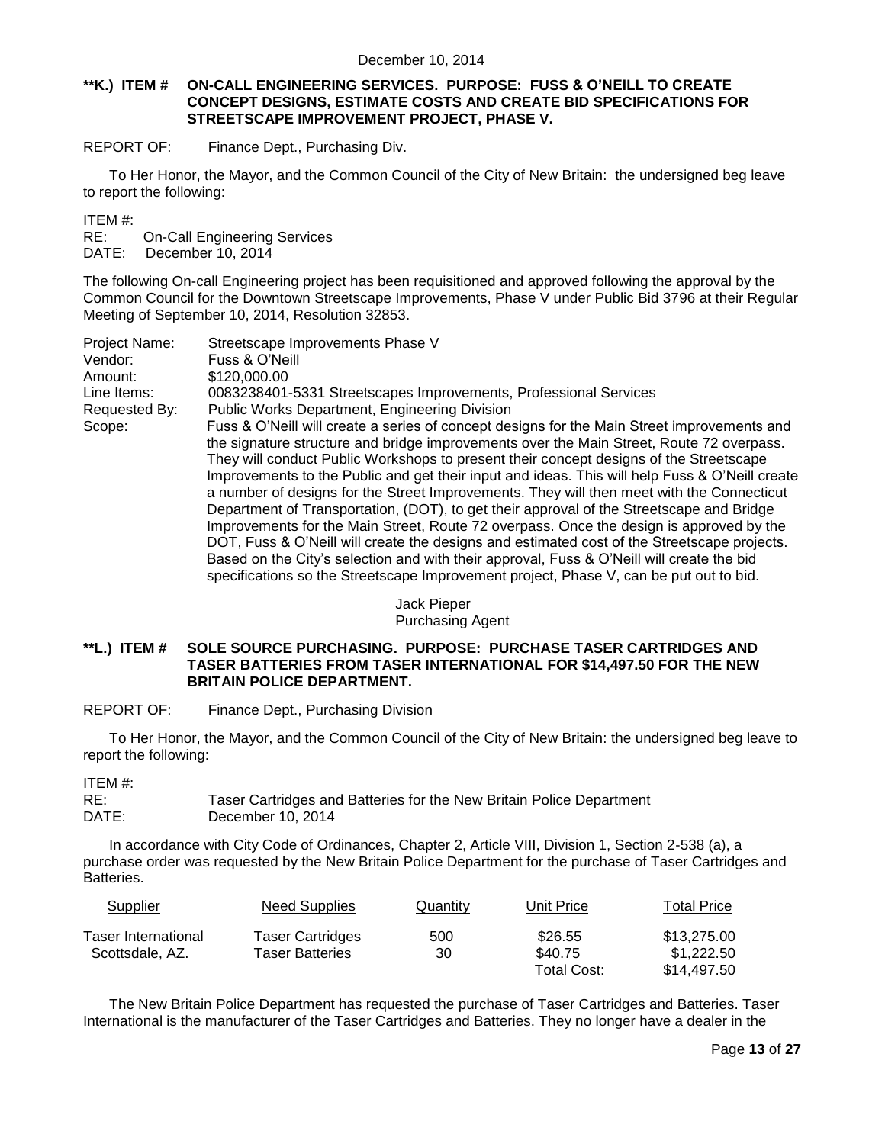#### **\*\*K.) ITEM # ON-CALL ENGINEERING SERVICES. PURPOSE: FUSS & O'NEILL TO CREATE CONCEPT DESIGNS, ESTIMATE COSTS AND CREATE BID SPECIFICATIONS FOR STREETSCAPE IMPROVEMENT PROJECT, PHASE V.**

REPORT OF: Finance Dept., Purchasing Div.

To Her Honor, the Mayor, and the Common Council of the City of New Britain: the undersigned beg leave to report the following:

ITEM #:

RE: On-Call Engineering Services

DATE: December 10, 2014

The following On-call Engineering project has been requisitioned and approved following the approval by the Common Council for the Downtown Streetscape Improvements, Phase V under Public Bid 3796 at their Regular Meeting of September 10, 2014, Resolution 32853.

| Project Name: | Streetscape Improvements Phase V                                                               |
|---------------|------------------------------------------------------------------------------------------------|
| Vendor:       | Fuss & O'Neill                                                                                 |
| Amount:       | \$120,000.00                                                                                   |
| Line Items:   | 0083238401-5331 Streetscapes Improvements, Professional Services                               |
| Requested By: | <b>Public Works Department, Engineering Division</b>                                           |
| Scope:        | Fuss & O'Neill will create a series of concept designs for the Main Street improvements and    |
|               | the signature structure and bridge improvements over the Main Street, Route 72 overpass.       |
|               | They will conduct Public Workshops to present their concept designs of the Streetscape         |
|               | Improvements to the Public and get their input and ideas. This will help Fuss & O'Neill create |
|               | a number of designs for the Street Improvements. They will then meet with the Connecticut      |
|               | Department of Transportation, (DOT), to get their approval of the Streetscape and Bridge       |
|               | Improvements for the Main Street, Route 72 overpass. Once the design is approved by the        |
|               | DOT, Fuss & O'Neill will create the designs and estimated cost of the Streetscape projects.    |
|               | Based on the City's selection and with their approval, Fuss & O'Neill will create the bid      |
|               | specifications so the Streetscape Improvement project, Phase V, can be put out to bid.         |

#### Jack Pieper Purchasing Agent

#### **\*\*L.) ITEM # SOLE SOURCE PURCHASING. PURPOSE: PURCHASE TASER CARTRIDGES AND TASER BATTERIES FROM TASER INTERNATIONAL FOR \$14,497.50 FOR THE NEW BRITAIN POLICE DEPARTMENT.**

REPORT OF: Finance Dept., Purchasing Division

To Her Honor, the Mayor, and the Common Council of the City of New Britain: the undersigned beg leave to report the following:

ITEM #:

RE: Taser Cartridges and Batteries for the New Britain Police Department DATE: December 10, 2014

In accordance with City Code of Ordinances, Chapter 2, Article VIII, Division 1, Section 2-538 (a), a purchase order was requested by the New Britain Police Department for the purchase of Taser Cartridges and Batteries.

| Supplier                                      | <b>Need Supplies</b>                | Quantity  | Unit Price         | <b>Total Price</b>        |
|-----------------------------------------------|-------------------------------------|-----------|--------------------|---------------------------|
| <b>Taser International</b><br>Scottsdale, AZ. | Taser Cartridges<br>Taser Batteries | 500<br>30 | \$26.55<br>\$40.75 | \$13,275.00<br>\$1,222.50 |
|                                               |                                     |           | Total Cost:        | \$14.497.50               |

The New Britain Police Department has requested the purchase of Taser Cartridges and Batteries. Taser International is the manufacturer of the Taser Cartridges and Batteries. They no longer have a dealer in the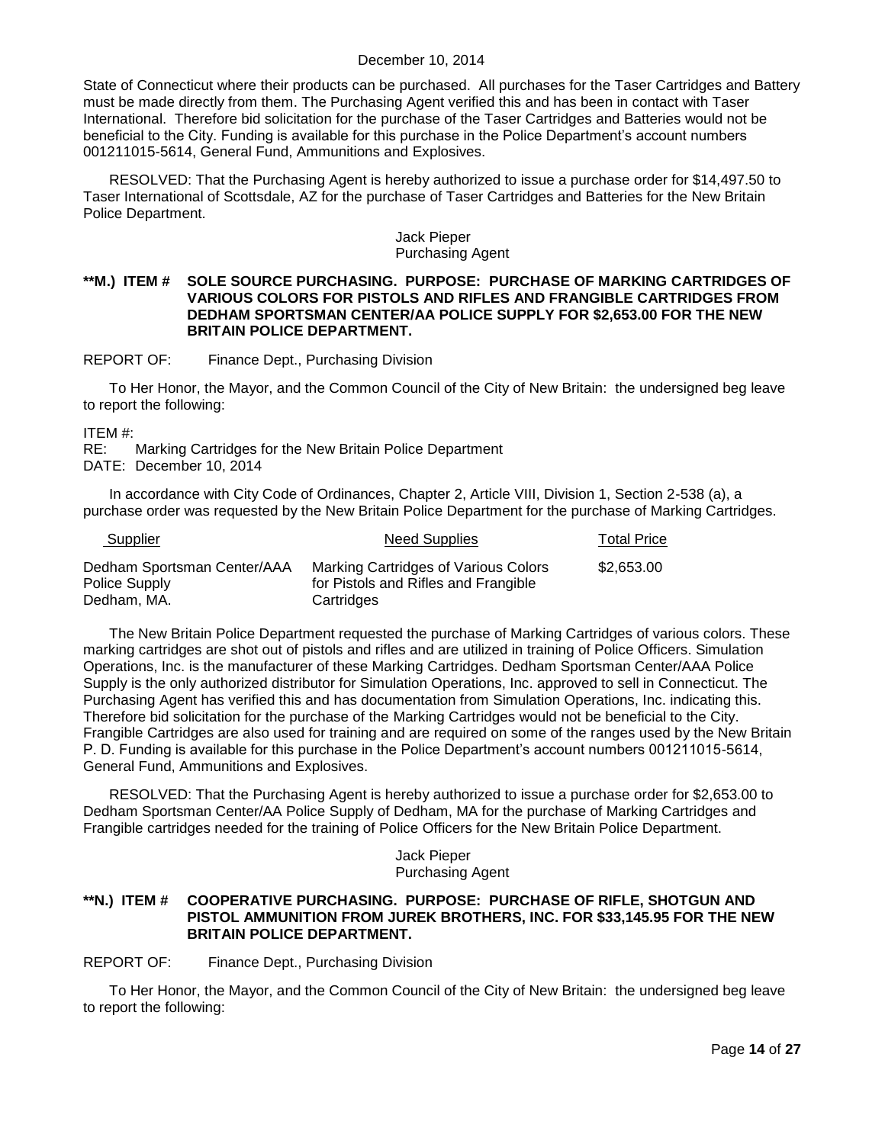State of Connecticut where their products can be purchased. All purchases for the Taser Cartridges and Battery must be made directly from them. The Purchasing Agent verified this and has been in contact with Taser International. Therefore bid solicitation for the purchase of the Taser Cartridges and Batteries would not be beneficial to the City. Funding is available for this purchase in the Police Department's account numbers 001211015-5614, General Fund, Ammunitions and Explosives.

RESOLVED: That the Purchasing Agent is hereby authorized to issue a purchase order for \$14,497.50 to Taser International of Scottsdale, AZ for the purchase of Taser Cartridges and Batteries for the New Britain Police Department.

#### Jack Pieper Purchasing Agent

#### **\*\*M.) ITEM # SOLE SOURCE PURCHASING. PURPOSE: PURCHASE OF MARKING CARTRIDGES OF VARIOUS COLORS FOR PISTOLS AND RIFLES AND FRANGIBLE CARTRIDGES FROM DEDHAM SPORTSMAN CENTER/AA POLICE SUPPLY FOR \$2,653.00 FOR THE NEW BRITAIN POLICE DEPARTMENT.**

REPORT OF: Finance Dept., Purchasing Division

To Her Honor, the Mayor, and the Common Council of the City of New Britain: the undersigned beg leave to report the following:

ITEM #:

RE: Marking Cartridges for the New Britain Police Department DATE: December 10, 2014

In accordance with City Code of Ordinances, Chapter 2, Article VIII, Division 1, Section 2-538 (a), a purchase order was requested by the New Britain Police Department for the purchase of Marking Cartridges.

| Supplier                                     | <b>Need Supplies</b>                                                         | <b>Total Price</b> |
|----------------------------------------------|------------------------------------------------------------------------------|--------------------|
| Dedham Sportsman Center/AAA<br>Police Supply | Marking Cartridges of Various Colors<br>for Pistols and Rifles and Frangible | \$2,653.00         |
| Dedham, MA.                                  | Cartridges                                                                   |                    |

The New Britain Police Department requested the purchase of Marking Cartridges of various colors. These marking cartridges are shot out of pistols and rifles and are utilized in training of Police Officers. Simulation Operations, Inc. is the manufacturer of these Marking Cartridges. Dedham Sportsman Center/AAA Police Supply is the only authorized distributor for Simulation Operations, Inc. approved to sell in Connecticut. The Purchasing Agent has verified this and has documentation from Simulation Operations, Inc. indicating this. Therefore bid solicitation for the purchase of the Marking Cartridges would not be beneficial to the City. Frangible Cartridges are also used for training and are required on some of the ranges used by the New Britain P. D. Funding is available for this purchase in the Police Department's account numbers 001211015-5614, General Fund, Ammunitions and Explosives.

RESOLVED: That the Purchasing Agent is hereby authorized to issue a purchase order for \$2,653.00 to Dedham Sportsman Center/AA Police Supply of Dedham, MA for the purchase of Marking Cartridges and Frangible cartridges needed for the training of Police Officers for the New Britain Police Department.

#### Jack Pieper Purchasing Agent

#### **\*\*N.) ITEM # COOPERATIVE PURCHASING. PURPOSE: PURCHASE OF RIFLE, SHOTGUN AND PISTOL AMMUNITION FROM JUREK BROTHERS, INC. FOR \$33,145.95 FOR THE NEW BRITAIN POLICE DEPARTMENT.**

REPORT OF: Finance Dept., Purchasing Division

To Her Honor, the Mayor, and the Common Council of the City of New Britain: the undersigned beg leave to report the following: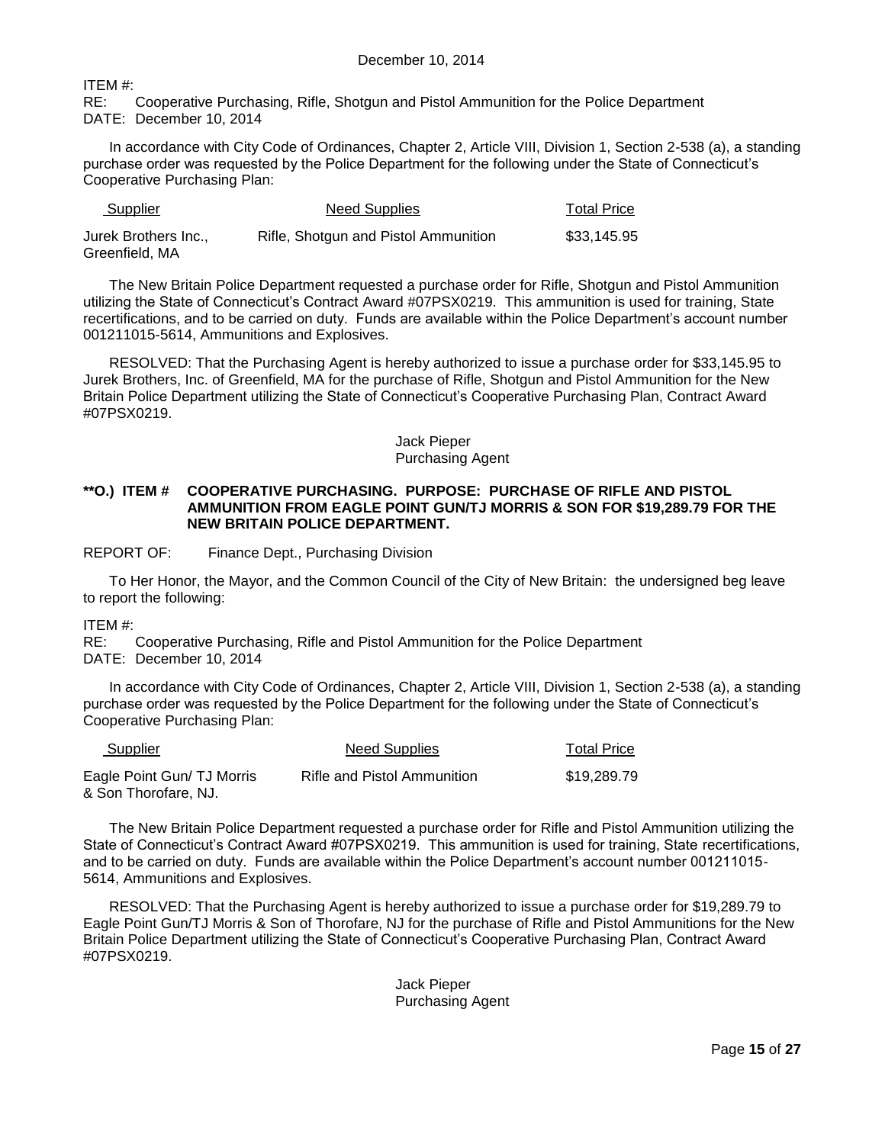ITEM #:

RE: Cooperative Purchasing, Rifle, Shotgun and Pistol Ammunition for the Police Department DATE: December 10, 2014

In accordance with City Code of Ordinances, Chapter 2, Article VIII, Division 1, Section 2-538 (a), a standing purchase order was requested by the Police Department for the following under the State of Connecticut's Cooperative Purchasing Plan:

| <b>Supplier</b>                        | <b>Need Supplies</b>                 | <b>Total Price</b> |
|----------------------------------------|--------------------------------------|--------------------|
| Jurek Brothers Inc.,<br>Greenfield, MA | Rifle, Shotgun and Pistol Ammunition | \$33,145.95        |

The New Britain Police Department requested a purchase order for Rifle, Shotgun and Pistol Ammunition utilizing the State of Connecticut's Contract Award #07PSX0219. This ammunition is used for training, State recertifications, and to be carried on duty. Funds are available within the Police Department's account number 001211015-5614, Ammunitions and Explosives.

RESOLVED: That the Purchasing Agent is hereby authorized to issue a purchase order for \$33,145.95 to Jurek Brothers, Inc. of Greenfield, MA for the purchase of Rifle, Shotgun and Pistol Ammunition for the New Britain Police Department utilizing the State of Connecticut's Cooperative Purchasing Plan, Contract Award #07PSX0219.

#### Jack Pieper Purchasing Agent

#### **\*\*O.) ITEM # COOPERATIVE PURCHASING. PURPOSE: PURCHASE OF RIFLE AND PISTOL AMMUNITION FROM EAGLE POINT GUN/TJ MORRIS & SON FOR \$19,289.79 FOR THE NEW BRITAIN POLICE DEPARTMENT.**

REPORT OF: Finance Dept., Purchasing Division

To Her Honor, the Mayor, and the Common Council of the City of New Britain: the undersigned beg leave to report the following:

#### ITEM #:

RE: Cooperative Purchasing, Rifle and Pistol Ammunition for the Police Department DATE: December 10, 2014

In accordance with City Code of Ordinances, Chapter 2, Article VIII, Division 1, Section 2-538 (a), a standing purchase order was requested by the Police Department for the following under the State of Connecticut's Cooperative Purchasing Plan:

| <b>Supplier</b>                                    | Need Supplies               | <b>Total Price</b> |
|----------------------------------------------------|-----------------------------|--------------------|
| Eagle Point Gun/ TJ Morris<br>& Son Thorofare, NJ. | Rifle and Pistol Ammunition | \$19,289.79        |

The New Britain Police Department requested a purchase order for Rifle and Pistol Ammunition utilizing the State of Connecticut's Contract Award #07PSX0219. This ammunition is used for training, State recertifications, and to be carried on duty. Funds are available within the Police Department's account number 001211015- 5614, Ammunitions and Explosives.

RESOLVED: That the Purchasing Agent is hereby authorized to issue a purchase order for \$19,289.79 to Eagle Point Gun/TJ Morris & Son of Thorofare, NJ for the purchase of Rifle and Pistol Ammunitions for the New Britain Police Department utilizing the State of Connecticut's Cooperative Purchasing Plan, Contract Award #07PSX0219.

#### Jack Pieper Purchasing Agent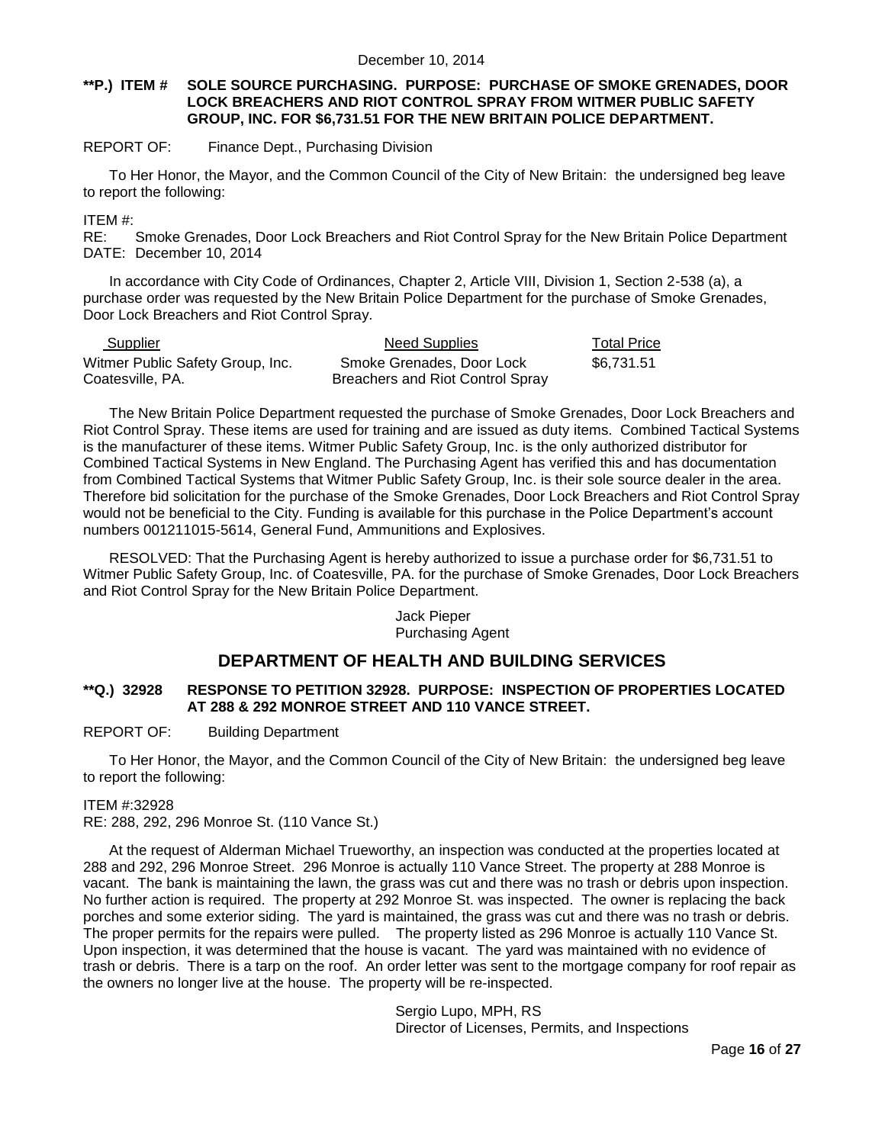#### **\*\*P.) ITEM # SOLE SOURCE PURCHASING. PURPOSE: PURCHASE OF SMOKE GRENADES, DOOR LOCK BREACHERS AND RIOT CONTROL SPRAY FROM WITMER PUBLIC SAFETY GROUP, INC. FOR \$6,731.51 FOR THE NEW BRITAIN POLICE DEPARTMENT.**

#### REPORT OF: Finance Dept., Purchasing Division

To Her Honor, the Mayor, and the Common Council of the City of New Britain: the undersigned beg leave to report the following:

ITEM #:

RE: Smoke Grenades, Door Lock Breachers and Riot Control Spray for the New Britain Police Department DATE: December 10, 2014

In accordance with City Code of Ordinances, Chapter 2, Article VIII, Division 1, Section 2-538 (a), a purchase order was requested by the New Britain Police Department for the purchase of Smoke Grenades, Door Lock Breachers and Riot Control Spray.

| <b>Supplier</b>                                      | <b>Need Supplies</b>                                          | <b>Total Price</b> |
|------------------------------------------------------|---------------------------------------------------------------|--------------------|
| Witmer Public Safety Group, Inc.<br>Coatesville, PA. | Smoke Grenades, Door Lock<br>Breachers and Riot Control Spray | \$6.731.51         |

The New Britain Police Department requested the purchase of Smoke Grenades, Door Lock Breachers and Riot Control Spray. These items are used for training and are issued as duty items. Combined Tactical Systems is the manufacturer of these items. Witmer Public Safety Group, Inc. is the only authorized distributor for Combined Tactical Systems in New England. The Purchasing Agent has verified this and has documentation from Combined Tactical Systems that Witmer Public Safety Group, Inc. is their sole source dealer in the area. Therefore bid solicitation for the purchase of the Smoke Grenades, Door Lock Breachers and Riot Control Spray would not be beneficial to the City. Funding is available for this purchase in the Police Department's account numbers 001211015-5614, General Fund, Ammunitions and Explosives.

RESOLVED: That the Purchasing Agent is hereby authorized to issue a purchase order for \$6,731.51 to Witmer Public Safety Group, Inc. of Coatesville, PA. for the purchase of Smoke Grenades, Door Lock Breachers and Riot Control Spray for the New Britain Police Department.

#### Jack Pieper Purchasing Agent

## **DEPARTMENT OF HEALTH AND BUILDING SERVICES**

#### **\*\*Q.) 32928 RESPONSE TO PETITION 32928. PURPOSE: INSPECTION OF PROPERTIES LOCATED AT 288 & 292 MONROE STREET AND 110 VANCE STREET.**

#### REPORT OF: Building Department

To Her Honor, the Mayor, and the Common Council of the City of New Britain: the undersigned beg leave to report the following:

#### ITEM #:32928

RE: 288, 292, 296 Monroe St. (110 Vance St.)

At the request of Alderman Michael Trueworthy, an inspection was conducted at the properties located at 288 and 292, 296 Monroe Street. 296 Monroe is actually 110 Vance Street. The property at 288 Monroe is vacant. The bank is maintaining the lawn, the grass was cut and there was no trash or debris upon inspection. No further action is required. The property at 292 Monroe St. was inspected. The owner is replacing the back porches and some exterior siding. The yard is maintained, the grass was cut and there was no trash or debris. The proper permits for the repairs were pulled. The property listed as 296 Monroe is actually 110 Vance St. Upon inspection, it was determined that the house is vacant. The yard was maintained with no evidence of trash or debris. There is a tarp on the roof. An order letter was sent to the mortgage company for roof repair as the owners no longer live at the house. The property will be re-inspected.

> Sergio Lupo, MPH, RS Director of Licenses, Permits, and Inspections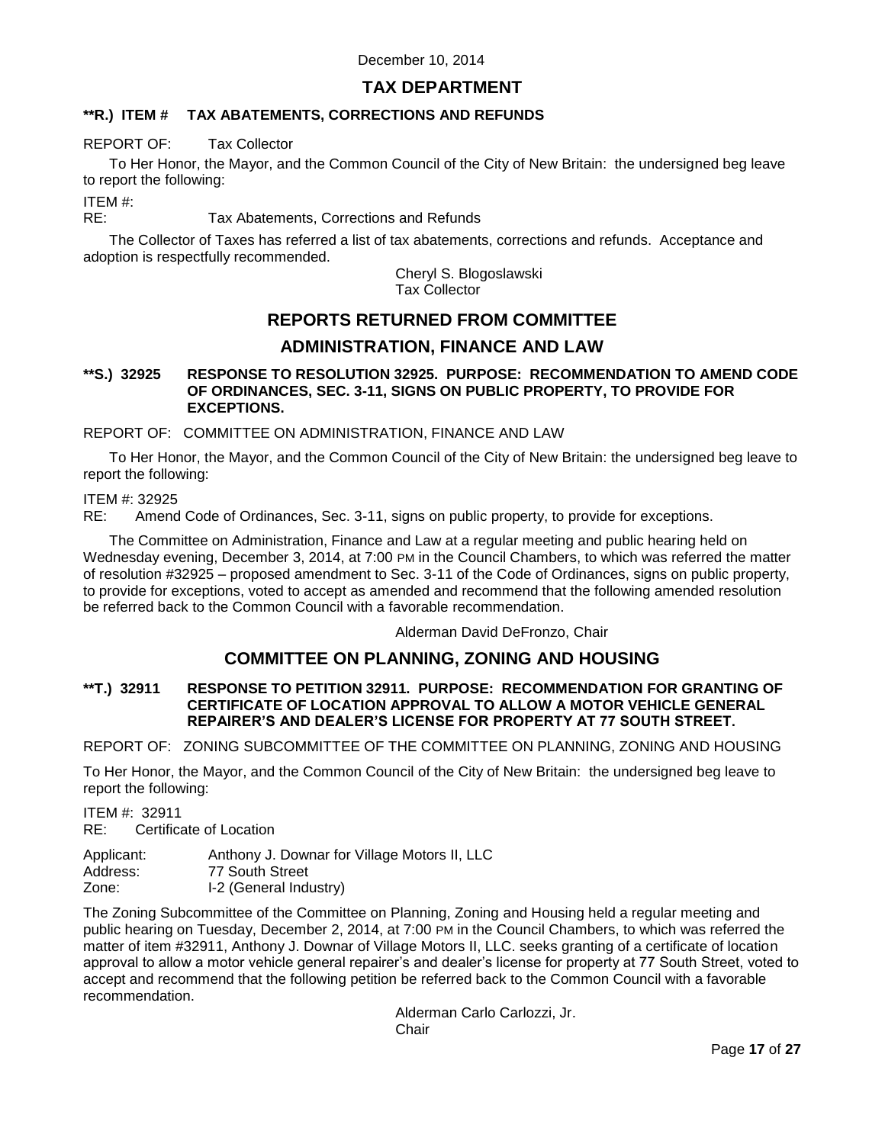## **TAX DEPARTMENT**

## **\*\*R.) ITEM # TAX ABATEMENTS, CORRECTIONS AND REFUNDS**

### REPORT OF: Tax Collector

To Her Honor, the Mayor, and the Common Council of the City of New Britain: the undersigned beg leave to report the following:

ITEM #:

RE: Tax Abatements, Corrections and Refunds

The Collector of Taxes has referred a list of tax abatements, corrections and refunds. Acceptance and adoption is respectfully recommended.

> Cheryl S. Blogoslawski Tax Collector

# **REPORTS RETURNED FROM COMMITTEE ADMINISTRATION, FINANCE AND LAW**

#### **\*\*S.) 32925 RESPONSE TO RESOLUTION 32925. PURPOSE: RECOMMENDATION TO AMEND CODE OF ORDINANCES, SEC. 3-11, SIGNS ON PUBLIC PROPERTY, TO PROVIDE FOR EXCEPTIONS.**

REPORT OF: COMMITTEE ON ADMINISTRATION, FINANCE AND LAW

To Her Honor, the Mayor, and the Common Council of the City of New Britain: the undersigned beg leave to report the following:

#### ITEM #: 32925

RE: Amend Code of Ordinances, Sec. 3-11, signs on public property, to provide for exceptions.

The Committee on Administration, Finance and Law at a regular meeting and public hearing held on Wednesday evening, December 3, 2014, at 7:00 PM in the Council Chambers, to which was referred the matter of resolution #32925 – proposed amendment to Sec. 3-11 of the Code of Ordinances, signs on public property, to provide for exceptions, voted to accept as amended and recommend that the following amended resolution be referred back to the Common Council with a favorable recommendation.

Alderman David DeFronzo, Chair

## **COMMITTEE ON PLANNING, ZONING AND HOUSING**

#### **\*\*T.) 32911 RESPONSE TO PETITION 32911. PURPOSE: RECOMMENDATION FOR GRANTING OF CERTIFICATE OF LOCATION APPROVAL TO ALLOW A MOTOR VEHICLE GENERAL REPAIRER'S AND DEALER'S LICENSE FOR PROPERTY AT 77 SOUTH STREET.**

REPORT OF: ZONING SUBCOMMITTEE OF THE COMMITTEE ON PLANNING, ZONING AND HOUSING

To Her Honor, the Mayor, and the Common Council of the City of New Britain: the undersigned beg leave to report the following:

ITEM #: 32911

RE: Certificate of Location

| Applicant: | Anthony J. Downar for Village Motors II, LLC |
|------------|----------------------------------------------|
| Address:   | 77 South Street                              |
| Zone:      | I-2 (General Industry)                       |

The Zoning Subcommittee of the Committee on Planning, Zoning and Housing held a regular meeting and public hearing on Tuesday, December 2, 2014, at 7:00 PM in the Council Chambers, to which was referred the matter of item #32911, Anthony J. Downar of Village Motors II, LLC. seeks granting of a certificate of location approval to allow a motor vehicle general repairer's and dealer's license for property at 77 South Street, voted to accept and recommend that the following petition be referred back to the Common Council with a favorable recommendation.

Alderman Carlo Carlozzi, Jr. **Chair**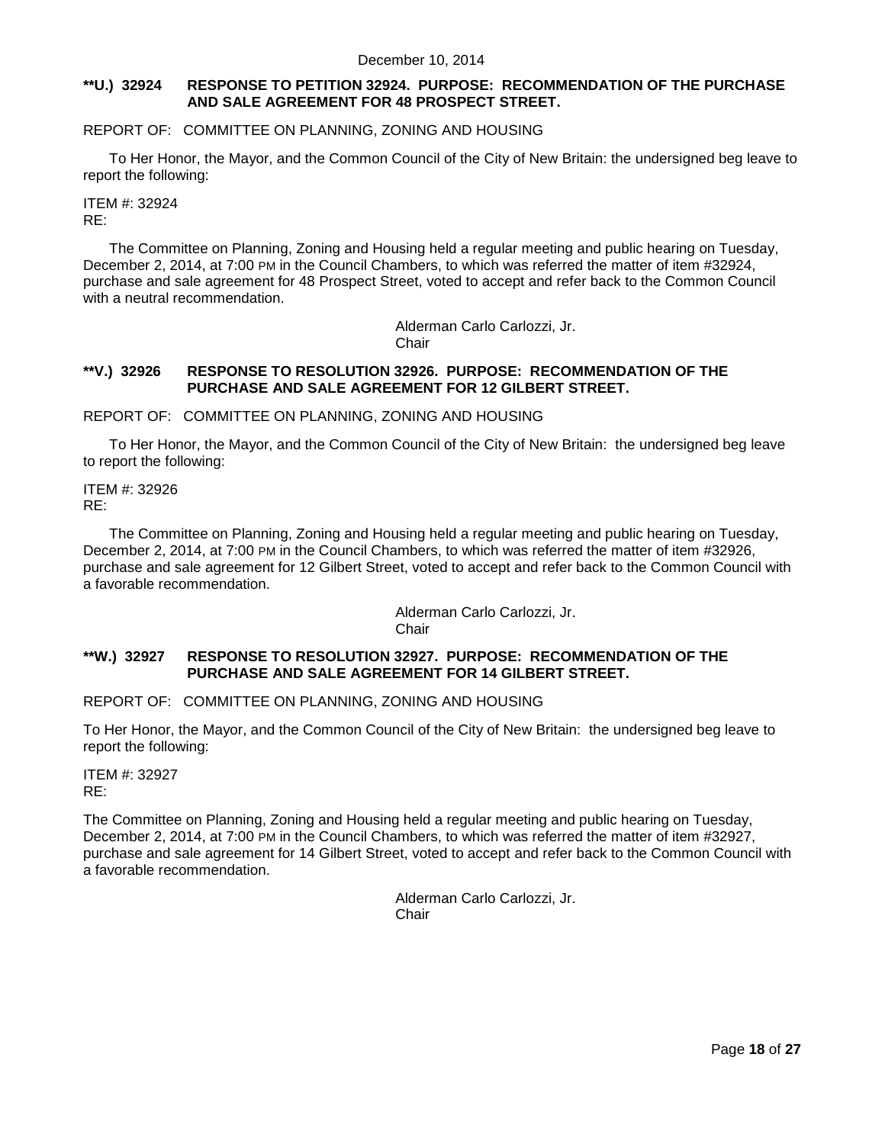#### **\*\*U.) 32924 RESPONSE TO PETITION 32924. PURPOSE: RECOMMENDATION OF THE PURCHASE AND SALE AGREEMENT FOR 48 PROSPECT STREET.**

REPORT OF: COMMITTEE ON PLANNING, ZONING AND HOUSING

To Her Honor, the Mayor, and the Common Council of the City of New Britain: the undersigned beg leave to report the following:

ITEM #: 32924 RE:

The Committee on Planning, Zoning and Housing held a regular meeting and public hearing on Tuesday, December 2, 2014, at 7:00 PM in the Council Chambers, to which was referred the matter of item #32924, purchase and sale agreement for 48 Prospect Street, voted to accept and refer back to the Common Council with a neutral recommendation.

> Alderman Carlo Carlozzi, Jr. **Chair**

#### **\*\*V.) 32926 RESPONSE TO RESOLUTION 32926. PURPOSE: RECOMMENDATION OF THE PURCHASE AND SALE AGREEMENT FOR 12 GILBERT STREET.**

REPORT OF: COMMITTEE ON PLANNING, ZONING AND HOUSING

To Her Honor, the Mayor, and the Common Council of the City of New Britain: the undersigned beg leave to report the following:

ITEM #: 32926 RE:

The Committee on Planning, Zoning and Housing held a regular meeting and public hearing on Tuesday, December 2, 2014, at 7:00 PM in the Council Chambers, to which was referred the matter of item #32926, purchase and sale agreement for 12 Gilbert Street, voted to accept and refer back to the Common Council with a favorable recommendation.

> Alderman Carlo Carlozzi, Jr. **Chair**

#### **\*\*W.) 32927 RESPONSE TO RESOLUTION 32927. PURPOSE: RECOMMENDATION OF THE PURCHASE AND SALE AGREEMENT FOR 14 GILBERT STREET.**

REPORT OF: COMMITTEE ON PLANNING, ZONING AND HOUSING

To Her Honor, the Mayor, and the Common Council of the City of New Britain: the undersigned beg leave to report the following:

ITEM #: 32927 RE:

The Committee on Planning, Zoning and Housing held a regular meeting and public hearing on Tuesday, December 2, 2014, at 7:00 PM in the Council Chambers, to which was referred the matter of item #32927, purchase and sale agreement for 14 Gilbert Street, voted to accept and refer back to the Common Council with a favorable recommendation.

> Alderman Carlo Carlozzi, Jr. Chair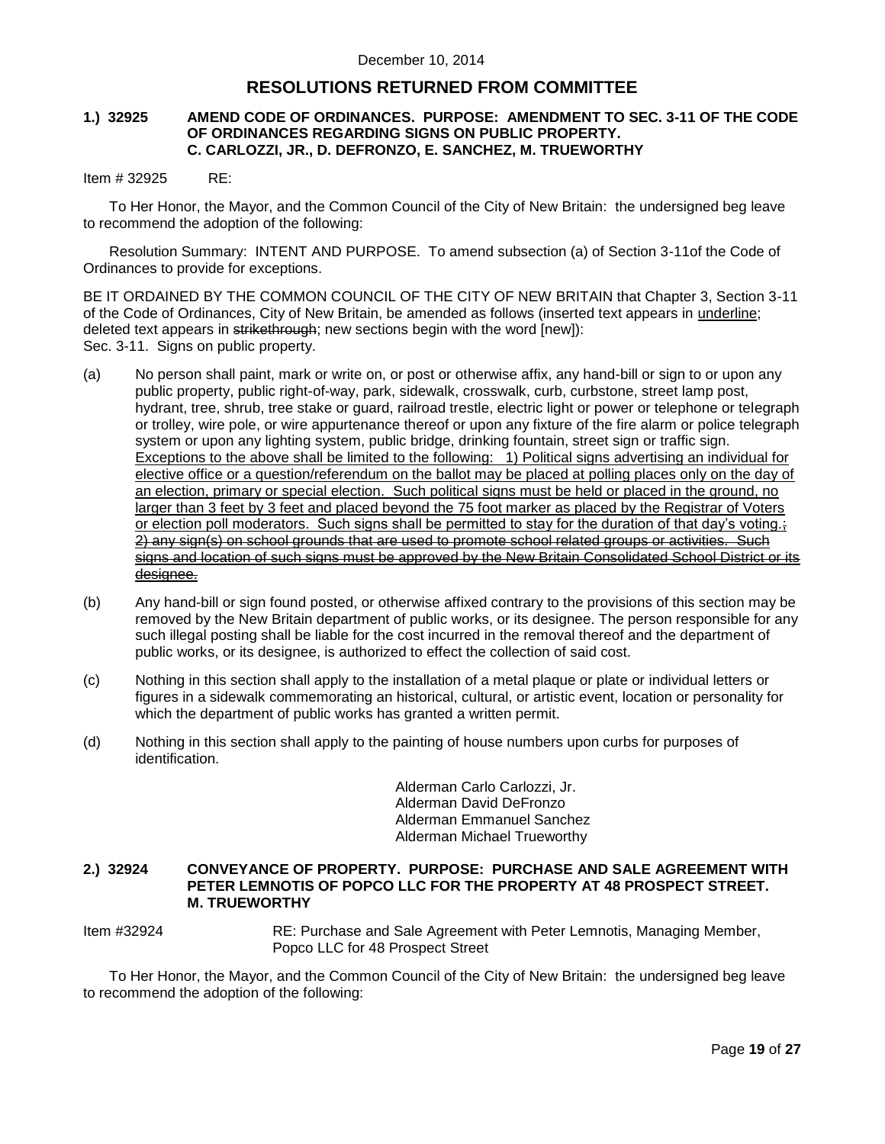## **RESOLUTIONS RETURNED FROM COMMITTEE**

#### **1.) 32925 AMEND CODE OF ORDINANCES. PURPOSE: AMENDMENT TO SEC. 3-11 OF THE CODE OF ORDINANCES REGARDING SIGNS ON PUBLIC PROPERTY. C. CARLOZZI, JR., D. DEFRONZO, E. SANCHEZ, M. TRUEWORTHY**

#### Item # 32925 RE:

To Her Honor, the Mayor, and the Common Council of the City of New Britain: the undersigned beg leave to recommend the adoption of the following:

Resolution Summary: INTENT AND PURPOSE. To amend subsection (a) of Section 3-11of the Code of Ordinances to provide for exceptions.

BE IT ORDAINED BY THE COMMON COUNCIL OF THE CITY OF NEW BRITAIN that Chapter 3, Section 3-11 of the Code of Ordinances, City of New Britain, be amended as follows (inserted text appears in underline; deleted text appears in strikethrough; new sections begin with the word [new]): Sec. 3-11. Signs on public property.

- (a) No person shall paint, mark or write on, or post or otherwise affix, any hand-bill or sign to or upon any public property, public right-of-way, park, sidewalk, crosswalk, curb, curbstone, street lamp post, hydrant, tree, shrub, tree stake or guard, railroad trestle, electric light or power or telephone or telegraph or trolley, wire pole, or wire appurtenance thereof or upon any fixture of the fire alarm or police telegraph system or upon any lighting system, public bridge, drinking fountain, street sign or traffic sign. Exceptions to the above shall be limited to the following: 1) Political signs advertising an individual for elective office or a question/referendum on the ballot may be placed at polling places only on the day of an election, primary or special election. Such political signs must be held or placed in the ground, no larger than 3 feet by 3 feet and placed beyond the 75 foot marker as placed by the Registrar of Voters or election poll moderators. Such signs shall be permitted to stay for the duration of that day's voting.; 2) any sign(s) on school grounds that are used to promote school related groups or activities. signs and location of such signs must be approved by the New Britain Consolidated School District or its designee.
- (b) Any hand-bill or sign found posted, or otherwise affixed contrary to the provisions of this section may be removed by the New Britain department of public works, or its designee. The person responsible for any such illegal posting shall be liable for the cost incurred in the removal thereof and the department of public works, or its designee, is authorized to effect the collection of said cost.
- (c) Nothing in this section shall apply to the installation of a metal plaque or plate or individual letters or figures in a sidewalk commemorating an historical, cultural, or artistic event, location or personality for which the department of public works has granted a written permit.
- (d) Nothing in this section shall apply to the painting of house numbers upon curbs for purposes of identification.

Alderman Carlo Carlozzi, Jr. Alderman David DeFronzo Alderman Emmanuel Sanchez Alderman Michael Trueworthy

#### **2.) 32924 CONVEYANCE OF PROPERTY. PURPOSE: PURCHASE AND SALE AGREEMENT WITH PETER LEMNOTIS OF POPCO LLC FOR THE PROPERTY AT 48 PROSPECT STREET. M. TRUEWORTHY**

Item #32924 RE: Purchase and Sale Agreement with Peter Lemnotis, Managing Member, Popco LLC for 48 Prospect Street

To Her Honor, the Mayor, and the Common Council of the City of New Britain: the undersigned beg leave to recommend the adoption of the following: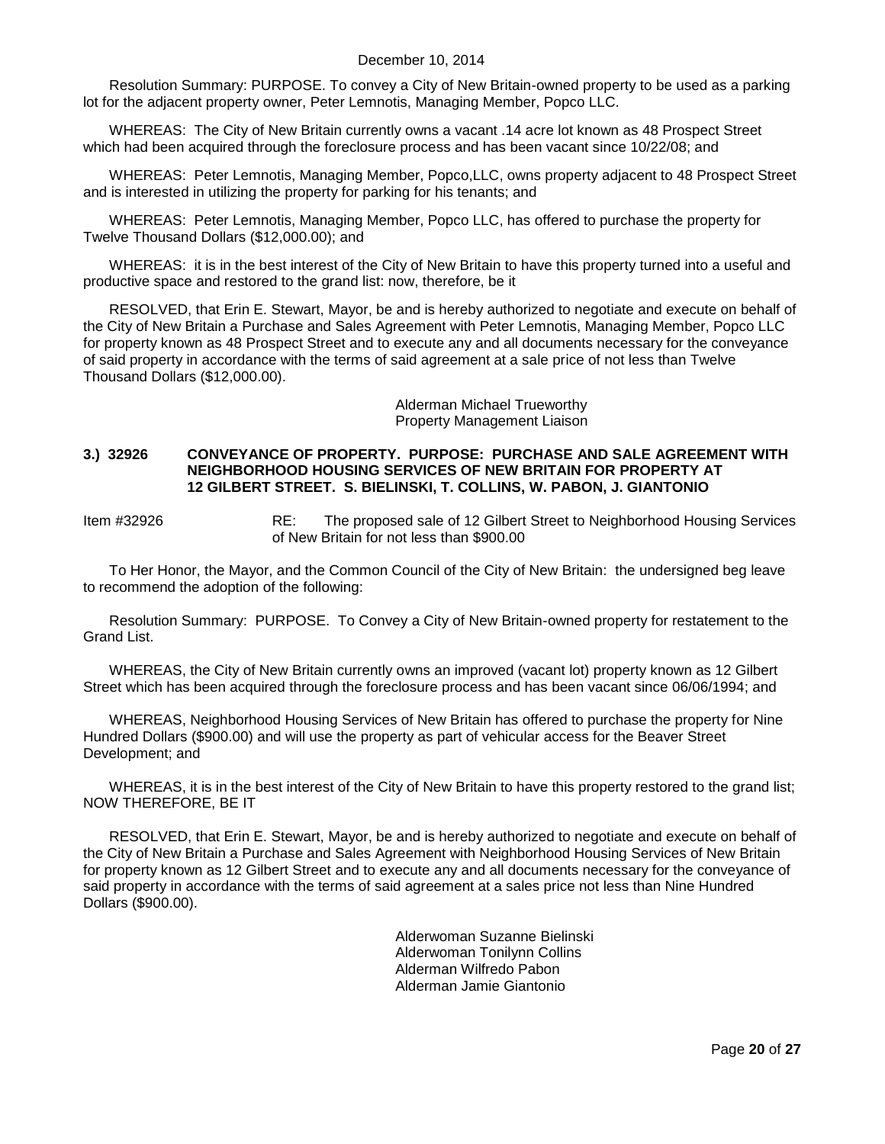Resolution Summary: PURPOSE. To convey a City of New Britain-owned property to be used as a parking lot for the adjacent property owner, Peter Lemnotis, Managing Member, Popco LLC.

WHEREAS: The City of New Britain currently owns a vacant .14 acre lot known as 48 Prospect Street which had been acquired through the foreclosure process and has been vacant since 10/22/08; and

WHEREAS: Peter Lemnotis, Managing Member, Popco,LLC, owns property adjacent to 48 Prospect Street and is interested in utilizing the property for parking for his tenants; and

WHEREAS: Peter Lemnotis, Managing Member, Popco LLC, has offered to purchase the property for Twelve Thousand Dollars (\$12,000.00); and

WHEREAS: it is in the best interest of the City of New Britain to have this property turned into a useful and productive space and restored to the grand list: now, therefore, be it

RESOLVED, that Erin E. Stewart, Mayor, be and is hereby authorized to negotiate and execute on behalf of the City of New Britain a Purchase and Sales Agreement with Peter Lemnotis, Managing Member, Popco LLC for property known as 48 Prospect Street and to execute any and all documents necessary for the conveyance of said property in accordance with the terms of said agreement at a sale price of not less than Twelve Thousand Dollars (\$12,000.00).

> Alderman Michael Trueworthy Property Management Liaison

#### **3.) 32926 CONVEYANCE OF PROPERTY. PURPOSE: PURCHASE AND SALE AGREEMENT WITH NEIGHBORHOOD HOUSING SERVICES OF NEW BRITAIN FOR PROPERTY AT 12 GILBERT STREET. S. BIELINSKI, T. COLLINS, W. PABON, J. GIANTONIO**

Item #32926 RE: The proposed sale of 12 Gilbert Street to Neighborhood Housing Services of New Britain for not less than \$900.00

To Her Honor, the Mayor, and the Common Council of the City of New Britain: the undersigned beg leave to recommend the adoption of the following:

Resolution Summary: PURPOSE. To Convey a City of New Britain-owned property for restatement to the Grand List.

WHEREAS, the City of New Britain currently owns an improved (vacant lot) property known as 12 Gilbert Street which has been acquired through the foreclosure process and has been vacant since 06/06/1994; and

WHEREAS, Neighborhood Housing Services of New Britain has offered to purchase the property for Nine Hundred Dollars (\$900.00) and will use the property as part of vehicular access for the Beaver Street Development; and

WHEREAS, it is in the best interest of the City of New Britain to have this property restored to the grand list; NOW THEREFORE, BE IT

RESOLVED, that Erin E. Stewart, Mayor, be and is hereby authorized to negotiate and execute on behalf of the City of New Britain a Purchase and Sales Agreement with Neighborhood Housing Services of New Britain for property known as 12 Gilbert Street and to execute any and all documents necessary for the conveyance of said property in accordance with the terms of said agreement at a sales price not less than Nine Hundred Dollars (\$900.00).

> Alderwoman Suzanne Bielinski Alderwoman Tonilynn Collins Alderman Wilfredo Pabon Alderman Jamie Giantonio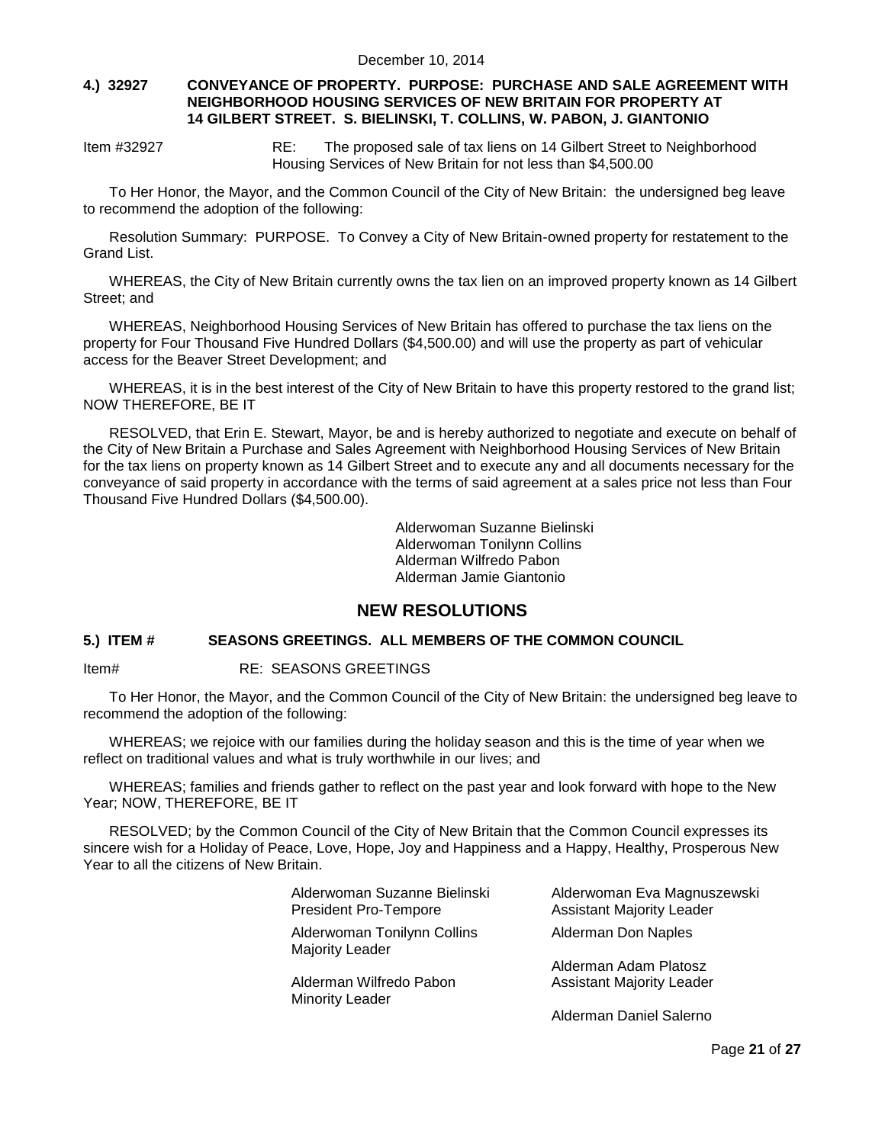#### **4.) 32927 CONVEYANCE OF PROPERTY. PURPOSE: PURCHASE AND SALE AGREEMENT WITH NEIGHBORHOOD HOUSING SERVICES OF NEW BRITAIN FOR PROPERTY AT 14 GILBERT STREET. S. BIELINSKI, T. COLLINS, W. PABON, J. GIANTONIO**

Item #32927 RE: The proposed sale of tax liens on 14 Gilbert Street to Neighborhood Housing Services of New Britain for not less than \$4,500.00

To Her Honor, the Mayor, and the Common Council of the City of New Britain: the undersigned beg leave to recommend the adoption of the following:

Resolution Summary: PURPOSE. To Convey a City of New Britain-owned property for restatement to the Grand List.

WHEREAS, the City of New Britain currently owns the tax lien on an improved property known as 14 Gilbert Street; and

WHEREAS, Neighborhood Housing Services of New Britain has offered to purchase the tax liens on the property for Four Thousand Five Hundred Dollars (\$4,500.00) and will use the property as part of vehicular access for the Beaver Street Development; and

WHEREAS, it is in the best interest of the City of New Britain to have this property restored to the grand list; NOW THEREFORE, BE IT

RESOLVED, that Erin E. Stewart, Mayor, be and is hereby authorized to negotiate and execute on behalf of the City of New Britain a Purchase and Sales Agreement with Neighborhood Housing Services of New Britain for the tax liens on property known as 14 Gilbert Street and to execute any and all documents necessary for the conveyance of said property in accordance with the terms of said agreement at a sales price not less than Four Thousand Five Hundred Dollars (\$4,500.00).

> Alderwoman Suzanne Bielinski Alderwoman Tonilynn Collins Alderman Wilfredo Pabon Alderman Jamie Giantonio

## **NEW RESOLUTIONS**

#### **5.) ITEM # SEASONS GREETINGS. ALL MEMBERS OF THE COMMON COUNCIL**

Item# RE: SEASONS GREETINGS

To Her Honor, the Mayor, and the Common Council of the City of New Britain: the undersigned beg leave to recommend the adoption of the following:

WHEREAS; we rejoice with our families during the holiday season and this is the time of year when we reflect on traditional values and what is truly worthwhile in our lives; and

WHEREAS; families and friends gather to reflect on the past year and look forward with hope to the New Year; NOW, THEREFORE, BE IT

RESOLVED; by the Common Council of the City of New Britain that the Common Council expresses its sincere wish for a Holiday of Peace, Love, Hope, Joy and Happiness and a Happy, Healthy, Prosperous New Year to all the citizens of New Britain.

| Alderwoman Suzanne Bielinski                   | Alderwoman Eva Magnuszewski      |
|------------------------------------------------|----------------------------------|
| <b>President Pro-Tempore</b>                   | <b>Assistant Majority Leader</b> |
| Alderwoman Tonilynn Collins<br>Majority Leader | Alderman Don Naples              |
| Alderman Wilfredo Pabon                        | Alderman Adam Platosz            |
| <b>Minority Leader</b>                         | <b>Assistant Majority Leader</b> |
|                                                | Alderman Daniel Salerno          |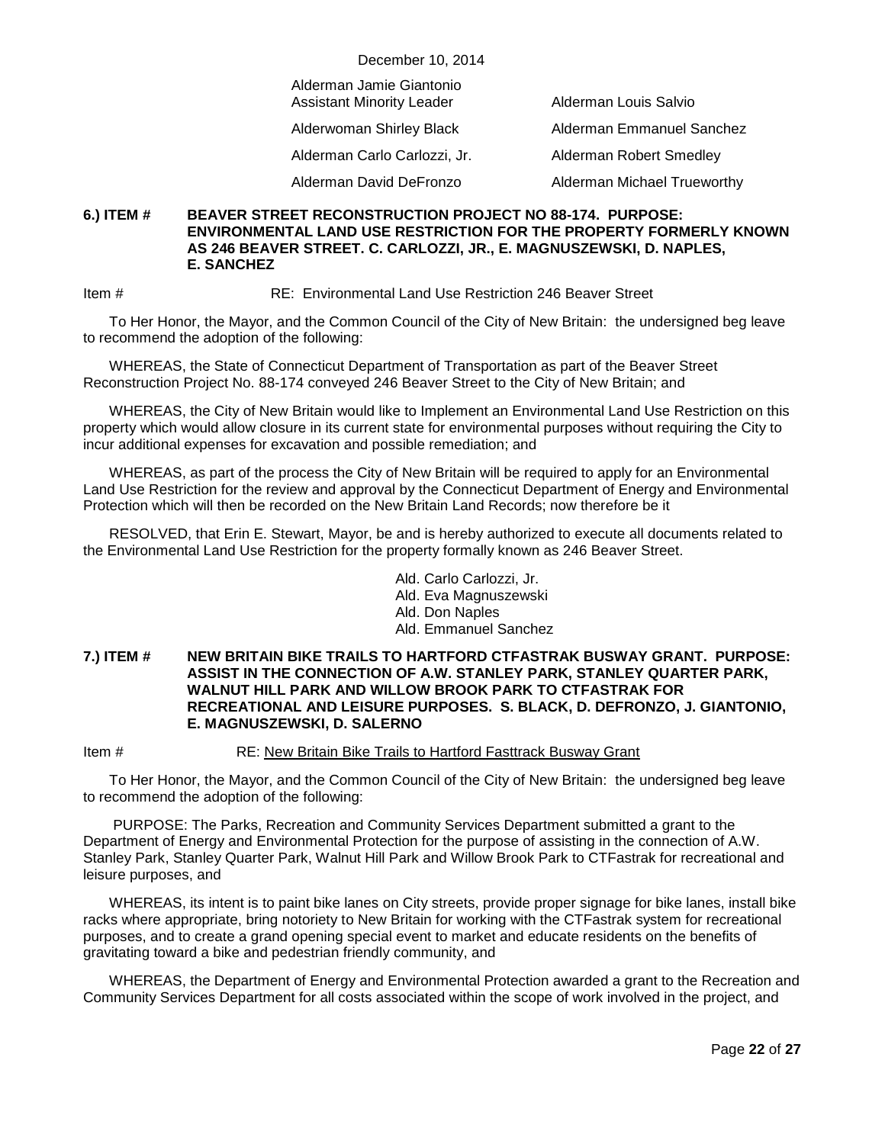| December 10, 2014                                            |                             |  |
|--------------------------------------------------------------|-----------------------------|--|
| Alderman Jamie Giantonio<br><b>Assistant Minority Leader</b> | Alderman Louis Salvio       |  |
| Alderwoman Shirley Black                                     | Alderman Emmanuel Sanchez   |  |
| Alderman Carlo Carlozzi, Jr.                                 | Alderman Robert Smedley     |  |
| Alderman David DeFronzo                                      | Alderman Michael Trueworthy |  |

#### **6.) ITEM # BEAVER STREET RECONSTRUCTION PROJECT NO 88-174. PURPOSE: ENVIRONMENTAL LAND USE RESTRICTION FOR THE PROPERTY FORMERLY KNOWN AS 246 BEAVER STREET. C. CARLOZZI, JR., E. MAGNUSZEWSKI, D. NAPLES, E. SANCHEZ**

Item # RE: Environmental Land Use Restriction 246 Beaver Street

To Her Honor, the Mayor, and the Common Council of the City of New Britain: the undersigned beg leave to recommend the adoption of the following:

WHEREAS, the State of Connecticut Department of Transportation as part of the Beaver Street Reconstruction Project No. 88-174 conveyed 246 Beaver Street to the City of New Britain; and

WHEREAS, the City of New Britain would like to Implement an Environmental Land Use Restriction on this property which would allow closure in its current state for environmental purposes without requiring the City to incur additional expenses for excavation and possible remediation; and

WHEREAS, as part of the process the City of New Britain will be required to apply for an Environmental Land Use Restriction for the review and approval by the Connecticut Department of Energy and Environmental Protection which will then be recorded on the New Britain Land Records; now therefore be it

RESOLVED, that Erin E. Stewart, Mayor, be and is hereby authorized to execute all documents related to the Environmental Land Use Restriction for the property formally known as 246 Beaver Street.

> Ald. Carlo Carlozzi, Jr. Ald. Eva Magnuszewski Ald. Don Naples Ald. Emmanuel Sanchez

#### **7.) ITEM # NEW BRITAIN BIKE TRAILS TO HARTFORD CTFASTRAK BUSWAY GRANT. PURPOSE: ASSIST IN THE CONNECTION OF A.W. STANLEY PARK, STANLEY QUARTER PARK, WALNUT HILL PARK AND WILLOW BROOK PARK TO CTFASTRAK FOR RECREATIONAL AND LEISURE PURPOSES. S. BLACK, D. DEFRONZO, J. GIANTONIO, E. MAGNUSZEWSKI, D. SALERNO**

Item # RE: New Britain Bike Trails to Hartford Fasttrack Busway Grant

To Her Honor, the Mayor, and the Common Council of the City of New Britain: the undersigned beg leave to recommend the adoption of the following:

PURPOSE: The Parks, Recreation and Community Services Department submitted a grant to the Department of Energy and Environmental Protection for the purpose of assisting in the connection of A.W. Stanley Park, Stanley Quarter Park, Walnut Hill Park and Willow Brook Park to CTFastrak for recreational and leisure purposes, and

WHEREAS, its intent is to paint bike lanes on City streets, provide proper signage for bike lanes, install bike racks where appropriate, bring notoriety to New Britain for working with the CTFastrak system for recreational purposes, and to create a grand opening special event to market and educate residents on the benefits of gravitating toward a bike and pedestrian friendly community, and

WHEREAS, the Department of Energy and Environmental Protection awarded a grant to the Recreation and Community Services Department for all costs associated within the scope of work involved in the project, and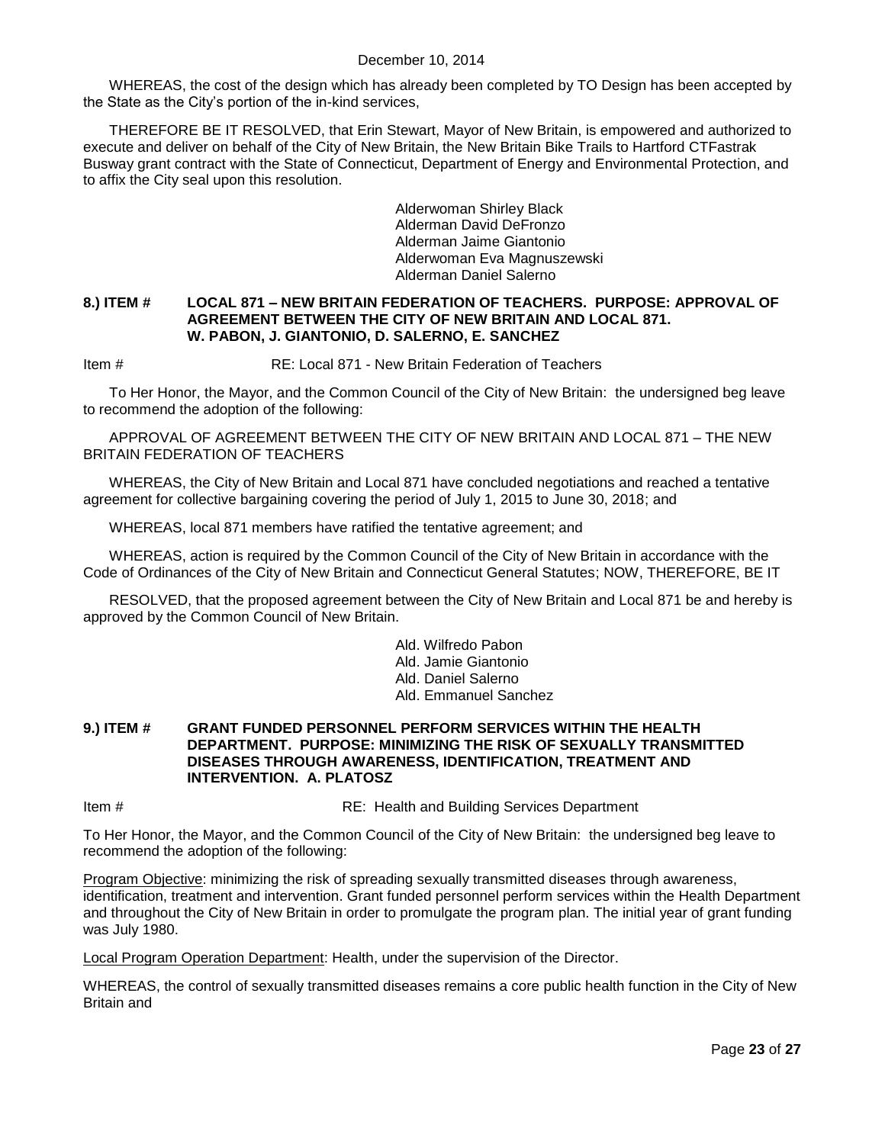WHEREAS, the cost of the design which has already been completed by TO Design has been accepted by the State as the City's portion of the in-kind services,

THEREFORE BE IT RESOLVED, that Erin Stewart, Mayor of New Britain, is empowered and authorized to execute and deliver on behalf of the City of New Britain, the New Britain Bike Trails to Hartford CTFastrak Busway grant contract with the State of Connecticut, Department of Energy and Environmental Protection, and to affix the City seal upon this resolution.

> Alderwoman Shirley Black Alderman David DeFronzo Alderman Jaime Giantonio Alderwoman Eva Magnuszewski Alderman Daniel Salerno

#### **8.) ITEM # LOCAL 871 – NEW BRITAIN FEDERATION OF TEACHERS. PURPOSE: APPROVAL OF AGREEMENT BETWEEN THE CITY OF NEW BRITAIN AND LOCAL 871. W. PABON, J. GIANTONIO, D. SALERNO, E. SANCHEZ**

Item # RE: Local 871 - New Britain Federation of Teachers

To Her Honor, the Mayor, and the Common Council of the City of New Britain: the undersigned beg leave to recommend the adoption of the following:

APPROVAL OF AGREEMENT BETWEEN THE CITY OF NEW BRITAIN AND LOCAL 871 – THE NEW BRITAIN FEDERATION OF TEACHERS

WHEREAS, the City of New Britain and Local 871 have concluded negotiations and reached a tentative agreement for collective bargaining covering the period of July 1, 2015 to June 30, 2018; and

WHEREAS, local 871 members have ratified the tentative agreement; and

WHEREAS, action is required by the Common Council of the City of New Britain in accordance with the Code of Ordinances of the City of New Britain and Connecticut General Statutes; NOW, THEREFORE, BE IT

RESOLVED, that the proposed agreement between the City of New Britain and Local 871 be and hereby is approved by the Common Council of New Britain.

> Ald. Wilfredo Pabon Ald. Jamie Giantonio Ald. Daniel Salerno Ald. Emmanuel Sanchez

#### **9.) ITEM # GRANT FUNDED PERSONNEL PERFORM SERVICES WITHIN THE HEALTH DEPARTMENT. PURPOSE: MINIMIZING THE RISK OF SEXUALLY TRANSMITTED DISEASES THROUGH AWARENESS, IDENTIFICATION, TREATMENT AND INTERVENTION. A. PLATOSZ**

Item # RE: Health and Building Services Department

To Her Honor, the Mayor, and the Common Council of the City of New Britain: the undersigned beg leave to recommend the adoption of the following:

Program Objective: minimizing the risk of spreading sexually transmitted diseases through awareness, identification, treatment and intervention. Grant funded personnel perform services within the Health Department and throughout the City of New Britain in order to promulgate the program plan. The initial year of grant funding was July 1980.

Local Program Operation Department: Health, under the supervision of the Director.

WHEREAS, the control of sexually transmitted diseases remains a core public health function in the City of New Britain and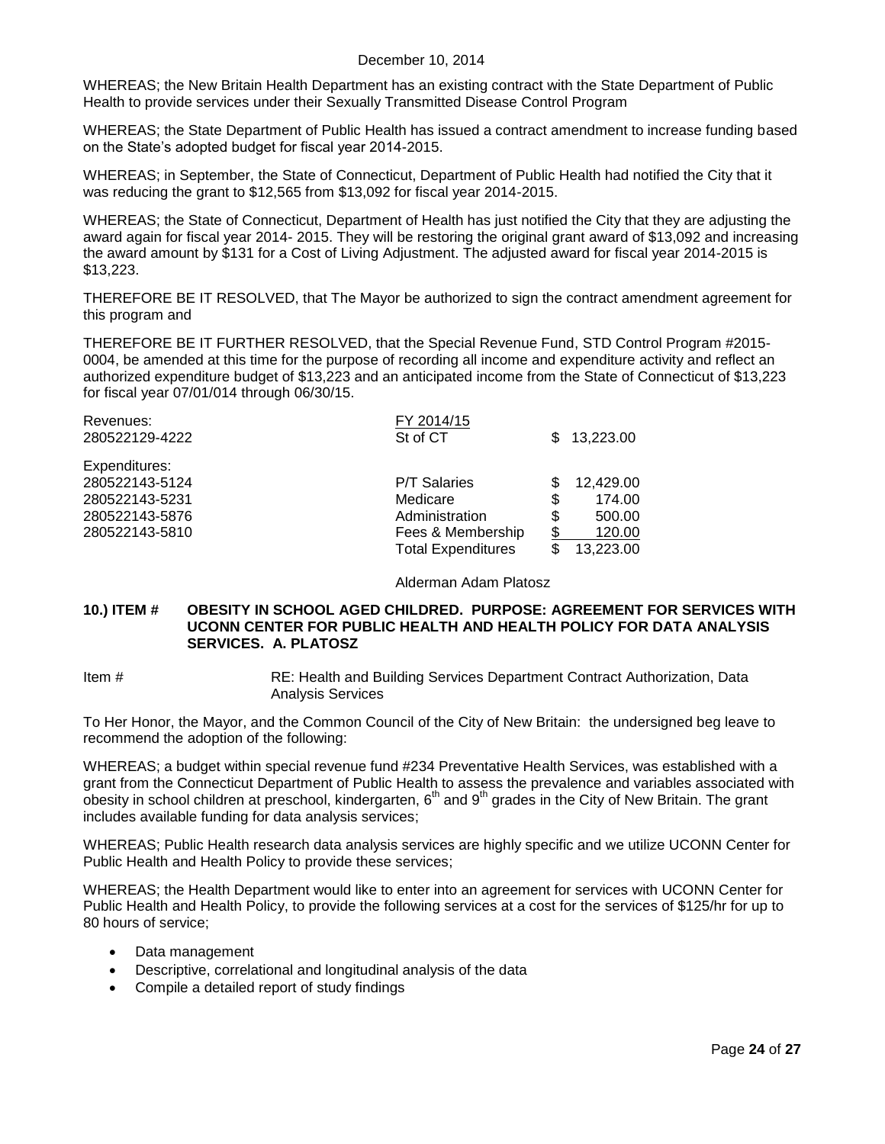WHEREAS; the New Britain Health Department has an existing contract with the State Department of Public Health to provide services under their Sexually Transmitted Disease Control Program

WHEREAS; the State Department of Public Health has issued a contract amendment to increase funding based on the State's adopted budget for fiscal year 2014-2015.

WHEREAS; in September, the State of Connecticut, Department of Public Health had notified the City that it was reducing the grant to \$12,565 from \$13,092 for fiscal year 2014-2015.

WHEREAS; the State of Connecticut, Department of Health has just notified the City that they are adjusting the award again for fiscal year 2014- 2015. They will be restoring the original grant award of \$13,092 and increasing the award amount by \$131 for a Cost of Living Adjustment. The adjusted award for fiscal year 2014-2015 is \$13,223.

THEREFORE BE IT RESOLVED, that The Mayor be authorized to sign the contract amendment agreement for this program and

THEREFORE BE IT FURTHER RESOLVED, that the Special Revenue Fund, STD Control Program #2015- 0004, be amended at this time for the purpose of recording all income and expenditure activity and reflect an authorized expenditure budget of \$13,223 and an anticipated income from the State of Connecticut of \$13,223 for fiscal year 07/01/014 through 06/30/15.

| FY 2014/15<br>St of CT    | SS. | 13,223.00 |
|---------------------------|-----|-----------|
|                           |     |           |
| <b>P/T Salaries</b>       |     | 12,429.00 |
| Medicare                  | \$  | 174.00    |
| Administration            | \$  | 500.00    |
| Fees & Membership         | \$  | 120.00    |
| <b>Total Expenditures</b> | S   | 13,223.00 |
|                           |     |           |

Alderman Adam Platosz

#### **10.) ITEM # OBESITY IN SCHOOL AGED CHILDRED. PURPOSE: AGREEMENT FOR SERVICES WITH UCONN CENTER FOR PUBLIC HEALTH AND HEALTH POLICY FOR DATA ANALYSIS SERVICES. A. PLATOSZ**

Item # RE: Health and Building Services Department Contract Authorization, Data Analysis Services

To Her Honor, the Mayor, and the Common Council of the City of New Britain: the undersigned beg leave to recommend the adoption of the following:

WHEREAS; a budget within special revenue fund #234 Preventative Health Services, was established with a grant from the Connecticut Department of Public Health to assess the prevalence and variables associated with obesity in school children at preschool, kindergarten, 6<sup>th</sup> and 9<sup>th</sup> grades in the City of New Britain. The grant includes available funding for data analysis services;

WHEREAS; Public Health research data analysis services are highly specific and we utilize UCONN Center for Public Health and Health Policy to provide these services;

WHEREAS; the Health Department would like to enter into an agreement for services with UCONN Center for Public Health and Health Policy, to provide the following services at a cost for the services of \$125/hr for up to 80 hours of service;

- Data management
- Descriptive, correlational and longitudinal analysis of the data
- Compile a detailed report of study findings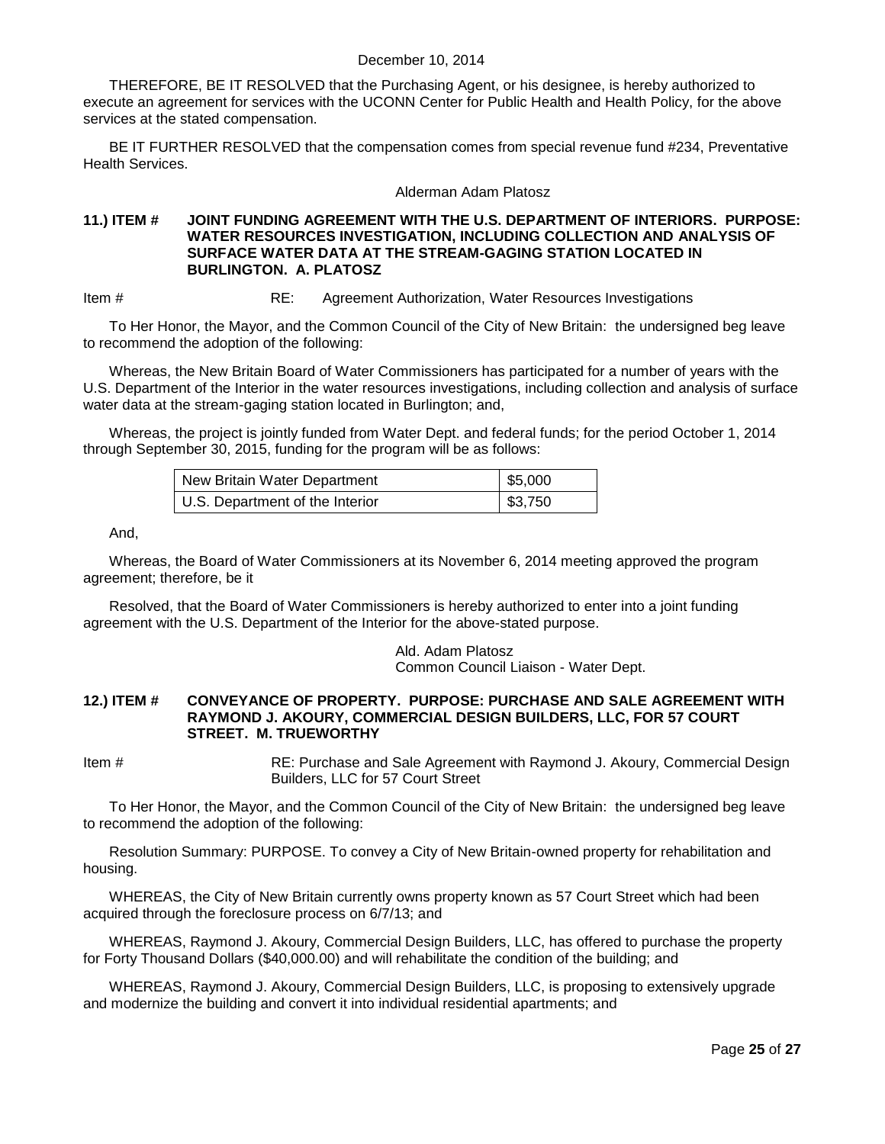THEREFORE, BE IT RESOLVED that the Purchasing Agent, or his designee, is hereby authorized to execute an agreement for services with the UCONN Center for Public Health and Health Policy, for the above services at the stated compensation.

BE IT FURTHER RESOLVED that the compensation comes from special revenue fund #234, Preventative Health Services.

#### Alderman Adam Platosz

#### **11.) ITEM # JOINT FUNDING AGREEMENT WITH THE U.S. DEPARTMENT OF INTERIORS. PURPOSE: WATER RESOURCES INVESTIGATION, INCLUDING COLLECTION AND ANALYSIS OF SURFACE WATER DATA AT THE STREAM-GAGING STATION LOCATED IN BURLINGTON. A. PLATOSZ**

Item # RE: Agreement Authorization, Water Resources Investigations

To Her Honor, the Mayor, and the Common Council of the City of New Britain: the undersigned beg leave to recommend the adoption of the following:

Whereas, the New Britain Board of Water Commissioners has participated for a number of years with the U.S. Department of the Interior in the water resources investigations, including collection and analysis of surface water data at the stream-gaging station located in Burlington; and,

Whereas, the project is jointly funded from Water Dept. and federal funds; for the period October 1, 2014 through September 30, 2015, funding for the program will be as follows:

| New Britain Water Department    | $\frac{1}{2}$ \$5,000 |
|---------------------------------|-----------------------|
| U.S. Department of the Interior | \$3,750               |

#### And,

Whereas, the Board of Water Commissioners at its November 6, 2014 meeting approved the program agreement; therefore, be it

Resolved, that the Board of Water Commissioners is hereby authorized to enter into a joint funding agreement with the U.S. Department of the Interior for the above-stated purpose.

> Ald. Adam Platosz Common Council Liaison - Water Dept.

#### **12.) ITEM # CONVEYANCE OF PROPERTY. PURPOSE: PURCHASE AND SALE AGREEMENT WITH RAYMOND J. AKOURY, COMMERCIAL DESIGN BUILDERS, LLC, FOR 57 COURT STREET. M. TRUEWORTHY**

Item # RE: Purchase and Sale Agreement with Raymond J. Akoury, Commercial Design Builders, LLC for 57 Court Street

To Her Honor, the Mayor, and the Common Council of the City of New Britain: the undersigned beg leave to recommend the adoption of the following:

Resolution Summary: PURPOSE. To convey a City of New Britain-owned property for rehabilitation and housing.

WHEREAS, the City of New Britain currently owns property known as 57 Court Street which had been acquired through the foreclosure process on 6/7/13; and

WHEREAS, Raymond J. Akoury, Commercial Design Builders, LLC, has offered to purchase the property for Forty Thousand Dollars (\$40,000.00) and will rehabilitate the condition of the building; and

WHEREAS, Raymond J. Akoury, Commercial Design Builders, LLC, is proposing to extensively upgrade and modernize the building and convert it into individual residential apartments; and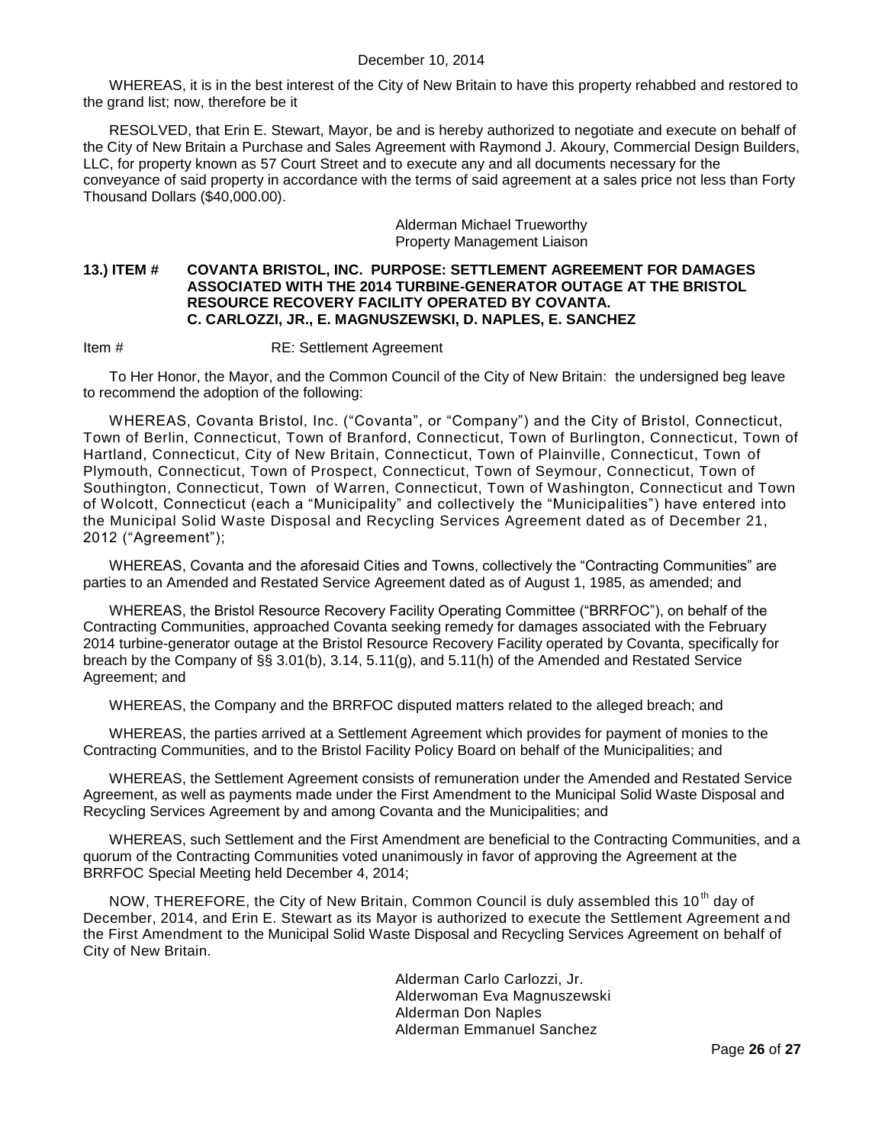WHEREAS, it is in the best interest of the City of New Britain to have this property rehabbed and restored to the grand list; now, therefore be it

RESOLVED, that Erin E. Stewart, Mayor, be and is hereby authorized to negotiate and execute on behalf of the City of New Britain a Purchase and Sales Agreement with Raymond J. Akoury, Commercial Design Builders, LLC, for property known as 57 Court Street and to execute any and all documents necessary for the conveyance of said property in accordance with the terms of said agreement at a sales price not less than Forty Thousand Dollars (\$40,000.00).

> Alderman Michael Trueworthy Property Management Liaison

#### **13.) ITEM # COVANTA BRISTOL, INC. PURPOSE: SETTLEMENT AGREEMENT FOR DAMAGES ASSOCIATED WITH THE 2014 TURBINE-GENERATOR OUTAGE AT THE BRISTOL RESOURCE RECOVERY FACILITY OPERATED BY COVANTA. C. CARLOZZI, JR., E. MAGNUSZEWSKI, D. NAPLES, E. SANCHEZ**

Item # RE: Settlement Agreement

To Her Honor, the Mayor, and the Common Council of the City of New Britain: the undersigned beg leave to recommend the adoption of the following:

WHEREAS, Covanta Bristol, Inc. ("Covanta", or "Company") and the City of Bristol, Connecticut, Town of Berlin, Connecticut, Town of Branford, Connecticut, Town of Burlington, Connecticut, Town of Hartland, Connecticut, City of New Britain, Connecticut, Town of Plainville, Connecticut, Town of Plymouth, Connecticut, Town of Prospect, Connecticut, Town of Seymour, Connecticut, Town of Southington, Connecticut, Town of Warren, Connecticut, Town of Washington, Connecticut and Town of Wolcott, Connecticut (each a "Municipality" and collectively the "Municipalities") have entered into the Municipal Solid Waste Disposal and Recycling Services Agreement dated as of December 21, 2012 ("Agreement");

WHEREAS, Covanta and the aforesaid Cities and Towns, collectively the "Contracting Communities" are parties to an Amended and Restated Service Agreement dated as of August 1, 1985, as amended; and

WHEREAS, the Bristol Resource Recovery Facility Operating Committee ("BRRFOC"), on behalf of the Contracting Communities, approached Covanta seeking remedy for damages associated with the February 2014 turbine-generator outage at the Bristol Resource Recovery Facility operated by Covanta, specifically for breach by the Company of §§ 3.01(b), 3.14, 5.11(g), and 5.11(h) of the Amended and Restated Service Agreement; and

WHEREAS, the Company and the BRRFOC disputed matters related to the alleged breach; and

WHEREAS, the parties arrived at a Settlement Agreement which provides for payment of monies to the Contracting Communities, and to the Bristol Facility Policy Board on behalf of the Municipalities; and

WHEREAS, the Settlement Agreement consists of remuneration under the Amended and Restated Service Agreement, as well as payments made under the First Amendment to the Municipal Solid Waste Disposal and Recycling Services Agreement by and among Covanta and the Municipalities; and

WHEREAS, such Settlement and the First Amendment are beneficial to the Contracting Communities, and a quorum of the Contracting Communities voted unanimously in favor of approving the Agreement at the BRRFOC Special Meeting held December 4, 2014;

NOW, THEREFORE, the City of New Britain, Common Council is duly assembled this 10<sup>th</sup> day of December, 2014, and Erin E. Stewart as its Mayor is authorized to execute the Settlement Agreement a nd the First Amendment to the Municipal Solid Waste Disposal and Recycling Services Agreement on behalf of City of New Britain.

> Alderman Carlo Carlozzi, Jr. Alderwoman Eva Magnuszewski Alderman Don Naples Alderman Emmanuel Sanchez